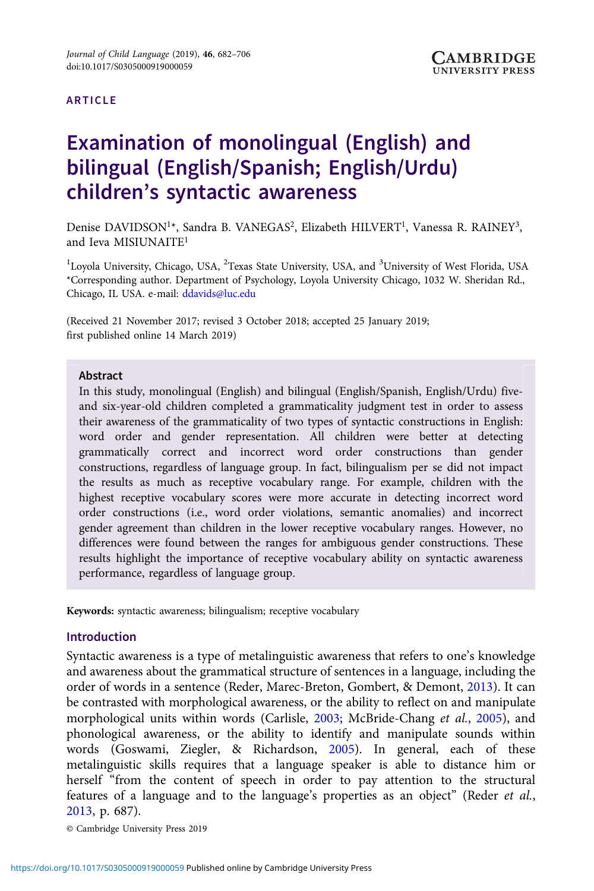#### ARTICLE

# Examination of monolingual (English) and bilingual (English/Spanish; English/Urdu) children's syntactic awareness

Denise DAVIDSON<sup>1\*</sup>, Sandra B. VANEGAS<sup>2</sup>, Elizabeth HILVERT<sup>1</sup>, Vanessa R. RAINEY<sup>3</sup>, and Ieva MISIUNAITE1

<sup>1</sup>Loyola University, Chicago, USA, <sup>2</sup>Texas State University, USA, and <sup>3</sup>University of West Florida, USA \*Corresponding author. Department of Psychology, Loyola University Chicago, 1032 W. Sheridan Rd., Chicago, IL USA. e-mail: [ddavids@luc.edu](mailto:ddavids@luc.edu)

(Received 21 November 2017; revised 3 October 2018; accepted 25 January 2019; first published online 14 March 2019)

#### Abstract

In this study, monolingual (English) and bilingual (English/Spanish, English/Urdu) fiveand six-year-old children completed a grammaticality judgment test in order to assess their awareness of the grammaticality of two types of syntactic constructions in English: word order and gender representation. All children were better at detecting grammatically correct and incorrect word order constructions than gender constructions, regardless of language group. In fact, bilingualism per se did not impact the results as much as receptive vocabulary range. For example, children with the highest receptive vocabulary scores were more accurate in detecting incorrect word order constructions (i.e., word order violations, semantic anomalies) and incorrect gender agreement than children in the lower receptive vocabulary ranges. However, no differences were found between the ranges for ambiguous gender constructions. These results highlight the importance of receptive vocabulary ability on syntactic awareness performance, regardless of language group.

Keywords: syntactic awareness; bilingualism; receptive vocabulary

# Introduction

Syntactic awareness is a type of metalinguistic awareness that refers to one's knowledge and awareness about the grammatical structure of sentences in a language, including the order of words in a sentence (Reder, Marec-Breton, Gombert, & Demont, [2013\)](#page-23-0). It can be contrasted with morphological awareness, or the ability to reflect on and manipulate morphological units within words (Carlisle, [2003](#page-21-0); McBride-Chang et al., [2005](#page-23-0)), and phonological awareness, or the ability to identify and manipulate sounds within words (Goswami, Ziegler, & Richardson, [2005](#page-22-0)). In general, each of these metalinguistic skills requires that a language speaker is able to distance him or herself "from the content of speech in order to pay attention to the structural features of a language and to the language's properties as an object" (Reder et al., [2013,](#page-23-0) p. 687).

© Cambridge University Press 2019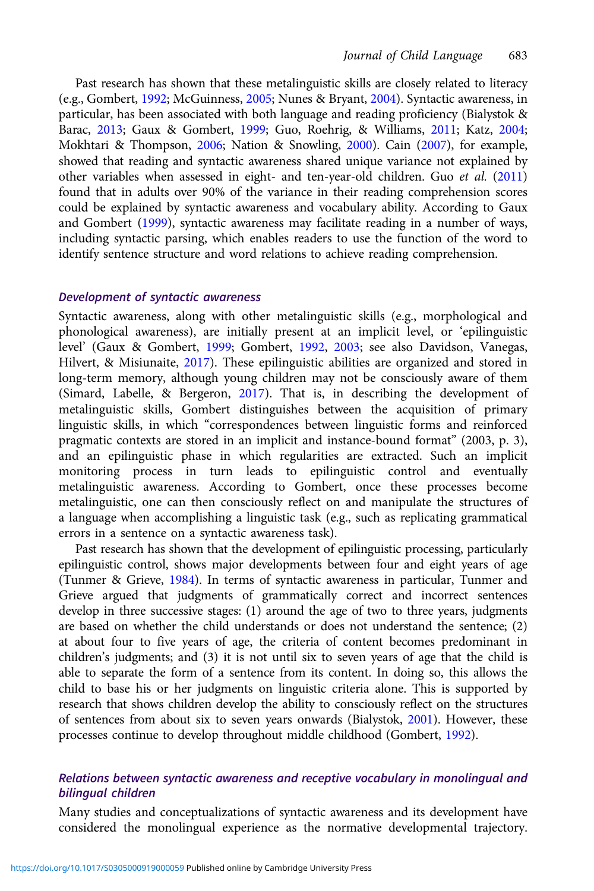Past research has shown that these metalinguistic skills are closely related to literacy (e.g., Gombert, [1992;](#page-22-0) McGuinness, [2005](#page-23-0); Nunes & Bryant, [2004](#page-23-0)). Syntactic awareness, in particular, has been associated with both language and reading proficiency (Bialystok & Barac, [2013](#page-21-0); Gaux & Gombert, [1999;](#page-22-0) Guo, Roehrig, & Williams, [2011](#page-22-0); Katz, [2004;](#page-23-0) Mokhtari & Thompson, [2006](#page-23-0); Nation & Snowling, [2000\)](#page-23-0). Cain [\(2007\)](#page-21-0), for example, showed that reading and syntactic awareness shared unique variance not explained by other variables when assessed in eight- and ten-year-old children. Guo et al. ([2011](#page-22-0)) found that in adults over 90% of the variance in their reading comprehension scores could be explained by syntactic awareness and vocabulary ability. According to Gaux and Gombert [\(1999](#page-22-0)), syntactic awareness may facilitate reading in a number of ways, including syntactic parsing, which enables readers to use the function of the word to identify sentence structure and word relations to achieve reading comprehension.

#### Development of syntactic awareness

Syntactic awareness, along with other metalinguistic skills (e.g., morphological and phonological awareness), are initially present at an implicit level, or 'epilinguistic level' (Gaux & Gombert, [1999;](#page-22-0) Gombert, [1992,](#page-22-0) [2003](#page-22-0); see also Davidson, Vanegas, Hilvert, & Misiunaite, [2017](#page-22-0)). These epilinguistic abilities are organized and stored in long-term memory, although young children may not be consciously aware of them (Simard, Labelle, & Bergeron, [2017\)](#page-24-0). That is, in describing the development of metalinguistic skills, Gombert distinguishes between the acquisition of primary linguistic skills, in which "correspondences between linguistic forms and reinforced pragmatic contexts are stored in an implicit and instance-bound format" (2003, p. 3), and an epilinguistic phase in which regularities are extracted. Such an implicit monitoring process in turn leads to epilinguistic control and eventually metalinguistic awareness. According to Gombert, once these processes become metalinguistic, one can then consciously reflect on and manipulate the structures of a language when accomplishing a linguistic task (e.g., such as replicating grammatical errors in a sentence on a syntactic awareness task).

Past research has shown that the development of epilinguistic processing, particularly epilinguistic control, shows major developments between four and eight years of age (Tunmer & Grieve, [1984](#page-24-0)). In terms of syntactic awareness in particular, Tunmer and Grieve argued that judgments of grammatically correct and incorrect sentences develop in three successive stages: (1) around the age of two to three years, judgments are based on whether the child understands or does not understand the sentence; (2) at about four to five years of age, the criteria of content becomes predominant in children's judgments; and (3) it is not until six to seven years of age that the child is able to separate the form of a sentence from its content. In doing so, this allows the child to base his or her judgments on linguistic criteria alone. This is supported by research that shows children develop the ability to consciously reflect on the structures of sentences from about six to seven years onwards (Bialystok, [2001](#page-21-0)). However, these processes continue to develop throughout middle childhood (Gombert, [1992\)](#page-22-0).

# Relations between syntactic awareness and receptive vocabulary in monolingual and bilingual children

Many studies and conceptualizations of syntactic awareness and its development have considered the monolingual experience as the normative developmental trajectory.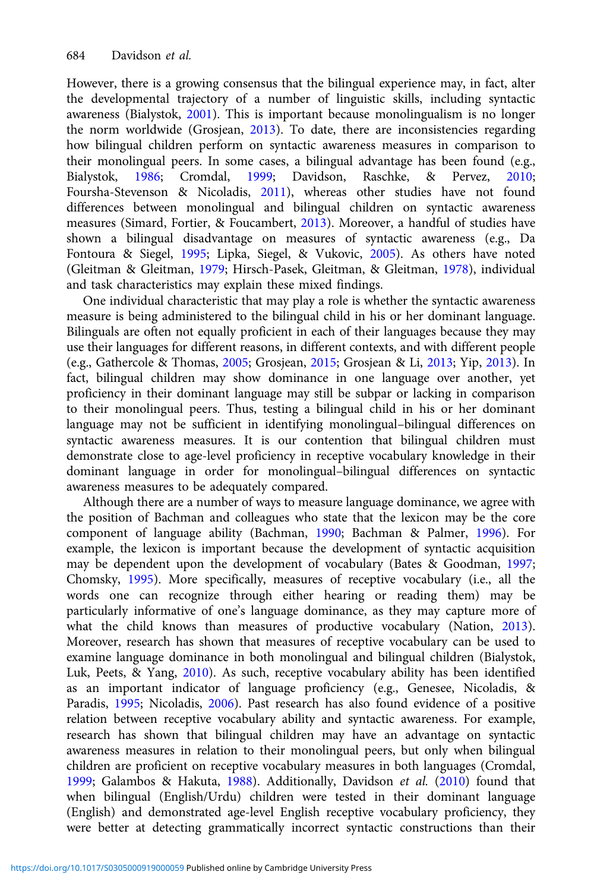However, there is a growing consensus that the bilingual experience may, in fact, alter the developmental trajectory of a number of linguistic skills, including syntactic awareness (Bialystok, [2001](#page-21-0)). This is important because monolingualism is no longer the norm worldwide (Grosjean, [2013](#page-22-0)). To date, there are inconsistencies regarding how bilingual children perform on syntactic awareness measures in comparison to their monolingual peers. In some cases, a bilingual advantage has been found (e.g., Bialystok, [1986](#page-21-0); Cromdal, [1999;](#page-22-0) Davidson, Raschke, & Pervez, [2010](#page-22-0); Foursha-Stevenson & Nicoladis, [2011\)](#page-22-0), whereas other studies have not found differences between monolingual and bilingual children on syntactic awareness measures (Simard, Fortier, & Foucambert, [2013\)](#page-23-0). Moreover, a handful of studies have shown a bilingual disadvantage on measures of syntactic awareness (e.g., Da Fontoura & Siegel, [1995;](#page-22-0) Lipka, Siegel, & Vukovic, [2005](#page-23-0)). As others have noted (Gleitman & Gleitman, [1979;](#page-22-0) Hirsch-Pasek, Gleitman, & Gleitman, [1978\)](#page-22-0), individual and task characteristics may explain these mixed findings.

One individual characteristic that may play a role is whether the syntactic awareness measure is being administered to the bilingual child in his or her dominant language. Bilinguals are often not equally proficient in each of their languages because they may use their languages for different reasons, in different contexts, and with different people (e.g., Gathercole & Thomas, [2005](#page-22-0); Grosjean, [2015](#page-22-0); Grosjean & Li, [2013;](#page-22-0) Yip, [2013](#page-24-0)). In fact, bilingual children may show dominance in one language over another, yet proficiency in their dominant language may still be subpar or lacking in comparison to their monolingual peers. Thus, testing a bilingual child in his or her dominant language may not be sufficient in identifying monolingual–bilingual differences on syntactic awareness measures. It is our contention that bilingual children must demonstrate close to age-level proficiency in receptive vocabulary knowledge in their dominant language in order for monolingual–bilingual differences on syntactic awareness measures to be adequately compared.

Although there are a number of ways to measure language dominance, we agree with the position of Bachman and colleagues who state that the lexicon may be the core component of language ability (Bachman, [1990;](#page-21-0) Bachman & Palmer, [1996\)](#page-21-0). For example, the lexicon is important because the development of syntactic acquisition may be dependent upon the development of vocabulary (Bates & Goodman, [1997](#page-21-0); Chomsky, [1995](#page-21-0)). More specifically, measures of receptive vocabulary (i.e., all the words one can recognize through either hearing or reading them) may be particularly informative of one's language dominance, as they may capture more of what the child knows than measures of productive vocabulary (Nation, [2013\)](#page-23-0). Moreover, research has shown that measures of receptive vocabulary can be used to examine language dominance in both monolingual and bilingual children (Bialystok, Luk, Peets, & Yang, [2010](#page-21-0)). As such, receptive vocabulary ability has been identified as an important indicator of language proficiency (e.g., Genesee, Nicoladis, & Paradis, [1995;](#page-22-0) Nicoladis, [2006\)](#page-23-0). Past research has also found evidence of a positive relation between receptive vocabulary ability and syntactic awareness. For example, research has shown that bilingual children may have an advantage on syntactic awareness measures in relation to their monolingual peers, but only when bilingual children are proficient on receptive vocabulary measures in both languages (Cromdal, [1999;](#page-22-0) Galambos & Hakuta, [1988](#page-22-0)). Additionally, Davidson et al. ([2010](#page-22-0)) found that when bilingual (English/Urdu) children were tested in their dominant language (English) and demonstrated age-level English receptive vocabulary proficiency, they were better at detecting grammatically incorrect syntactic constructions than their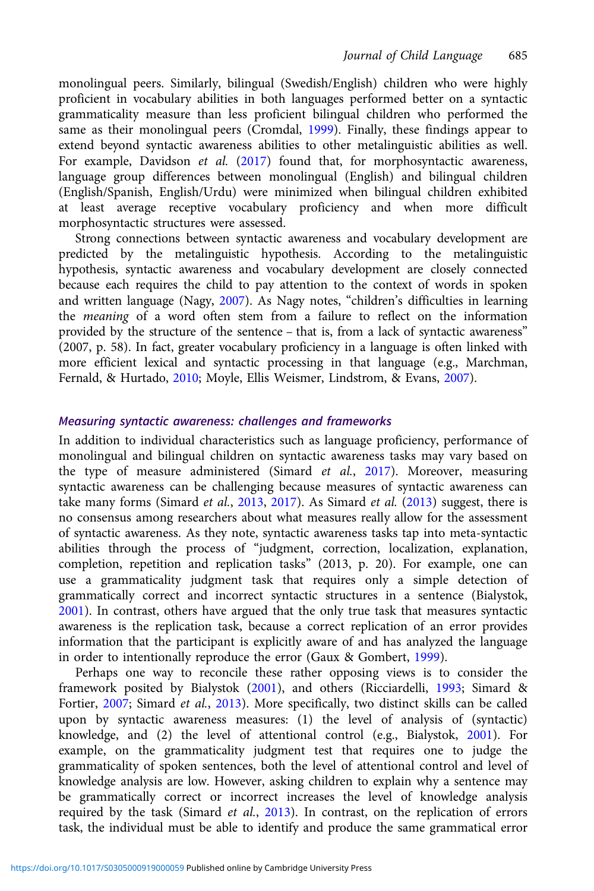monolingual peers. Similarly, bilingual (Swedish/English) children who were highly proficient in vocabulary abilities in both languages performed better on a syntactic grammaticality measure than less proficient bilingual children who performed the same as their monolingual peers (Cromdal, [1999](#page-22-0)). Finally, these findings appear to extend beyond syntactic awareness abilities to other metalinguistic abilities as well. For example, Davidson et al. ([2017](#page-22-0)) found that, for morphosyntactic awareness, language group differences between monolingual (English) and bilingual children (English/Spanish, English/Urdu) were minimized when bilingual children exhibited at least average receptive vocabulary proficiency and when more difficult morphosyntactic structures were assessed.

Strong connections between syntactic awareness and vocabulary development are predicted by the metalinguistic hypothesis. According to the metalinguistic hypothesis, syntactic awareness and vocabulary development are closely connected because each requires the child to pay attention to the context of words in spoken and written language (Nagy, [2007\)](#page-23-0). As Nagy notes, "children's difficulties in learning the meaning of a word often stem from a failure to reflect on the information provided by the structure of the sentence – that is, from a lack of syntactic awareness" (2007, p. 58). In fact, greater vocabulary proficiency in a language is often linked with more efficient lexical and syntactic processing in that language (e.g., Marchman, Fernald, & Hurtado, [2010](#page-23-0); Moyle, Ellis Weismer, Lindstrom, & Evans, [2007\)](#page-23-0).

# Measuring syntactic awareness: challenges and frameworks

In addition to individual characteristics such as language proficiency, performance of monolingual and bilingual children on syntactic awareness tasks may vary based on the type of measure administered (Simard et al., [2017](#page-24-0)). Moreover, measuring syntactic awareness can be challenging because measures of syntactic awareness can take many forms (Simard et al., [2013](#page-23-0), [2017](#page-24-0)). As Simard et al. ([2013\)](#page-23-0) suggest, there is no consensus among researchers about what measures really allow for the assessment of syntactic awareness. As they note, syntactic awareness tasks tap into meta-syntactic abilities through the process of "judgment, correction, localization, explanation, completion, repetition and replication tasks" (2013, p. 20). For example, one can use a grammaticality judgment task that requires only a simple detection of grammatically correct and incorrect syntactic structures in a sentence (Bialystok, [2001](#page-21-0)). In contrast, others have argued that the only true task that measures syntactic awareness is the replication task, because a correct replication of an error provides information that the participant is explicitly aware of and has analyzed the language in order to intentionally reproduce the error (Gaux & Gombert, [1999](#page-22-0)).

Perhaps one way to reconcile these rather opposing views is to consider the framework posited by Bialystok [\(2001](#page-21-0)), and others (Ricciardelli, [1993;](#page-23-0) Simard & Fortier, [2007](#page-23-0); Simard et al., [2013](#page-23-0)). More specifically, two distinct skills can be called upon by syntactic awareness measures: (1) the level of analysis of (syntactic) knowledge, and (2) the level of attentional control (e.g., Bialystok, [2001](#page-21-0)). For example, on the grammaticality judgment test that requires one to judge the grammaticality of spoken sentences, both the level of attentional control and level of knowledge analysis are low. However, asking children to explain why a sentence may be grammatically correct or incorrect increases the level of knowledge analysis required by the task (Simard et al., [2013\)](#page-23-0). In contrast, on the replication of errors task, the individual must be able to identify and produce the same grammatical error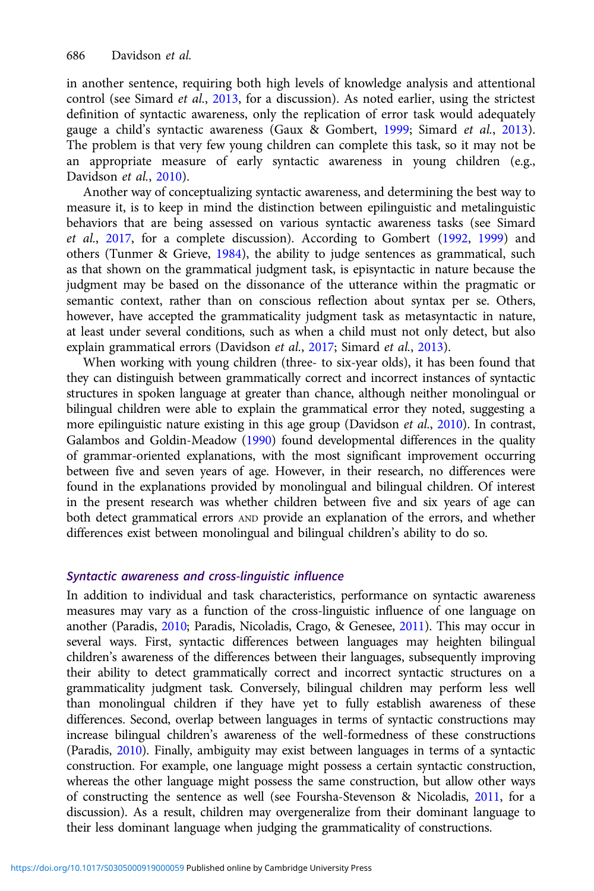in another sentence, requiring both high levels of knowledge analysis and attentional control (see Simard et al., [2013,](#page-23-0) for a discussion). As noted earlier, using the strictest definition of syntactic awareness, only the replication of error task would adequately gauge a child's syntactic awareness (Gaux & Gombert, [1999;](#page-22-0) Simard et al., [2013\)](#page-23-0). The problem is that very few young children can complete this task, so it may not be an appropriate measure of early syntactic awareness in young children (e.g., Davidson et al., [2010\)](#page-22-0).

Another way of conceptualizing syntactic awareness, and determining the best way to measure it, is to keep in mind the distinction between epilinguistic and metalinguistic behaviors that are being assessed on various syntactic awareness tasks (see Simard et al., [2017](#page-24-0), for a complete discussion). According to Gombert ([1992](#page-22-0), [1999](#page-22-0)) and others (Tunmer & Grieve, [1984](#page-24-0)), the ability to judge sentences as grammatical, such as that shown on the grammatical judgment task, is episyntactic in nature because the judgment may be based on the dissonance of the utterance within the pragmatic or semantic context, rather than on conscious reflection about syntax per se. Others, however, have accepted the grammaticality judgment task as metasyntactic in nature, at least under several conditions, such as when a child must not only detect, but also explain grammatical errors (Davidson et al., [2017](#page-22-0); Simard et al., [2013\)](#page-23-0).

When working with young children (three- to six-year olds), it has been found that they can distinguish between grammatically correct and incorrect instances of syntactic structures in spoken language at greater than chance, although neither monolingual or bilingual children were able to explain the grammatical error they noted, suggesting a more epilinguistic nature existing in this age group (Davidson et al., [2010\)](#page-22-0). In contrast, Galambos and Goldin-Meadow ([1990\)](#page-22-0) found developmental differences in the quality of grammar-oriented explanations, with the most significant improvement occurring between five and seven years of age. However, in their research, no differences were found in the explanations provided by monolingual and bilingual children. Of interest in the present research was whether children between five and six years of age can both detect grammatical errors AND provide an explanation of the errors, and whether differences exist between monolingual and bilingual children's ability to do so.

# Syntactic awareness and cross-linguistic influence

In addition to individual and task characteristics, performance on syntactic awareness measures may vary as a function of the cross-linguistic influence of one language on another (Paradis, [2010](#page-23-0); Paradis, Nicoladis, Crago, & Genesee, [2011](#page-23-0)). This may occur in several ways. First, syntactic differences between languages may heighten bilingual children's awareness of the differences between their languages, subsequently improving their ability to detect grammatically correct and incorrect syntactic structures on a grammaticality judgment task. Conversely, bilingual children may perform less well than monolingual children if they have yet to fully establish awareness of these differences. Second, overlap between languages in terms of syntactic constructions may increase bilingual children's awareness of the well-formedness of these constructions (Paradis, [2010\)](#page-23-0). Finally, ambiguity may exist between languages in terms of a syntactic construction. For example, one language might possess a certain syntactic construction, whereas the other language might possess the same construction, but allow other ways of constructing the sentence as well (see Foursha-Stevenson & Nicoladis, [2011,](#page-22-0) for a discussion). As a result, children may overgeneralize from their dominant language to their less dominant language when judging the grammaticality of constructions.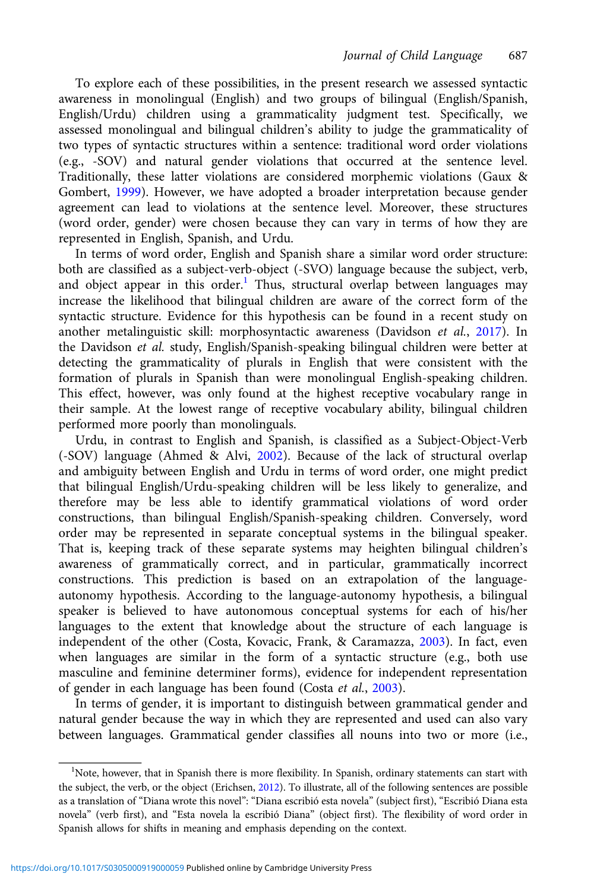To explore each of these possibilities, in the present research we assessed syntactic awareness in monolingual (English) and two groups of bilingual (English/Spanish, English/Urdu) children using a grammaticality judgment test. Specifically, we assessed monolingual and bilingual children's ability to judge the grammaticality of two types of syntactic structures within a sentence: traditional word order violations (e.g., -SOV) and natural gender violations that occurred at the sentence level. Traditionally, these latter violations are considered morphemic violations (Gaux & Gombert, [1999](#page-22-0)). However, we have adopted a broader interpretation because gender agreement can lead to violations at the sentence level. Moreover, these structures (word order, gender) were chosen because they can vary in terms of how they are represented in English, Spanish, and Urdu.

In terms of word order, English and Spanish share a similar word order structure: both are classified as a subject-verb-object (-SVO) language because the subject, verb, and object appear in this order.<sup>1</sup> Thus, structural overlap between languages may increase the likelihood that bilingual children are aware of the correct form of the syntactic structure. Evidence for this hypothesis can be found in a recent study on another metalinguistic skill: morphosyntactic awareness (Davidson et al., [2017\)](#page-22-0). In the Davidson et al. study, English/Spanish-speaking bilingual children were better at detecting the grammaticality of plurals in English that were consistent with the formation of plurals in Spanish than were monolingual English-speaking children. This effect, however, was only found at the highest receptive vocabulary range in their sample. At the lowest range of receptive vocabulary ability, bilingual children performed more poorly than monolinguals.

Urdu, in contrast to English and Spanish, is classified as a Subject-Object-Verb (-SOV) language (Ahmed & Alvi, [2002](#page-21-0)). Because of the lack of structural overlap and ambiguity between English and Urdu in terms of word order, one might predict that bilingual English/Urdu-speaking children will be less likely to generalize, and therefore may be less able to identify grammatical violations of word order constructions, than bilingual English/Spanish-speaking children. Conversely, word order may be represented in separate conceptual systems in the bilingual speaker. That is, keeping track of these separate systems may heighten bilingual children's awareness of grammatically correct, and in particular, grammatically incorrect constructions. This prediction is based on an extrapolation of the languageautonomy hypothesis. According to the language-autonomy hypothesis, a bilingual speaker is believed to have autonomous conceptual systems for each of his/her languages to the extent that knowledge about the structure of each language is independent of the other (Costa, Kovacic, Frank, & Caramazza, [2003\)](#page-22-0). In fact, even when languages are similar in the form of a syntactic structure (e.g., both use masculine and feminine determiner forms), evidence for independent representation of gender in each language has been found (Costa et al., [2003\)](#page-22-0).

In terms of gender, it is important to distinguish between grammatical gender and natural gender because the way in which they are represented and used can also vary between languages. Grammatical gender classifies all nouns into two or more (i.e.,

<sup>&</sup>lt;sup>1</sup>Note, however, that in Spanish there is more flexibility. In Spanish, ordinary statements can start with the subject, the verb, or the object (Erichsen, [2012\)](#page-22-0). To illustrate, all of the following sentences are possible as a translation of "Diana wrote this novel": "Diana escribió esta novela" (subject first), "Escribió Diana esta novela" (verb first), and "Esta novela la escribió Diana" (object first). The flexibility of word order in Spanish allows for shifts in meaning and emphasis depending on the context.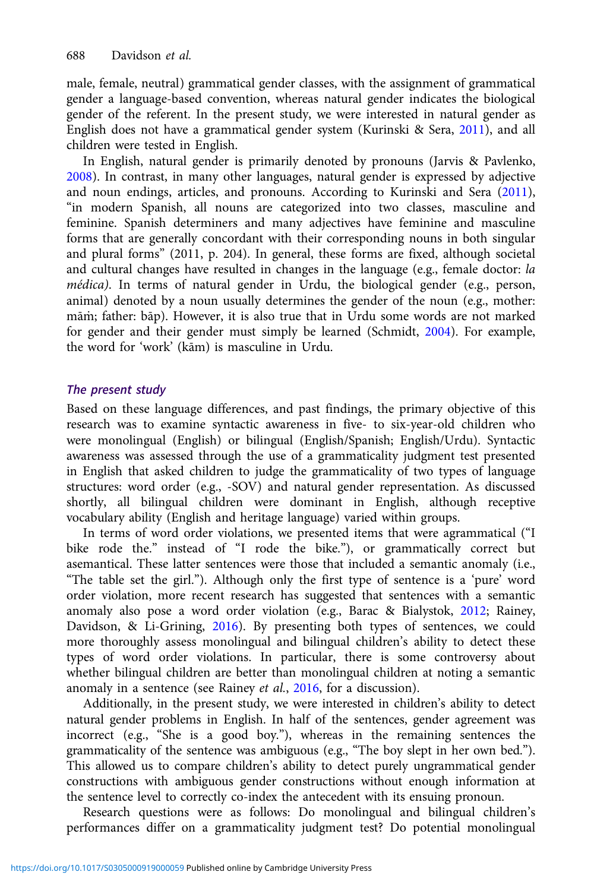male, female, neutral) grammatical gender classes, with the assignment of grammatical gender a language-based convention, whereas natural gender indicates the biological gender of the referent. In the present study, we were interested in natural gender as English does not have a grammatical gender system (Kurinski & Sera, [2011\)](#page-23-0), and all children were tested in English.

In English, natural gender is primarily denoted by pronouns (Jarvis & Pavlenko, [2008\)](#page-22-0). In contrast, in many other languages, natural gender is expressed by adjective and noun endings, articles, and pronouns. According to Kurinski and Sera [\(2011\)](#page-23-0), "in modern Spanish, all nouns are categorized into two classes, masculine and feminine. Spanish determiners and many adjectives have feminine and masculine forms that are generally concordant with their corresponding nouns in both singular and plural forms" (2011, p. 204). In general, these forms are fixed, although societal and cultural changes have resulted in changes in the language (e.g., female doctor: la médica). In terms of natural gender in Urdu, the biological gender (e.g., person, animal) denoted by a noun usually determines the gender of the noun (e.g., mother: mām; father: bāp). However, it is also true that in Urdu some words are not marked for gender and their gender must simply be learned (Schmidt, [2004\)](#page-23-0). For example, the word for 'work' (kām) is masculine in Urdu.

# The present study

Based on these language differences, and past findings, the primary objective of this research was to examine syntactic awareness in five- to six-year-old children who were monolingual (English) or bilingual (English/Spanish; English/Urdu). Syntactic awareness was assessed through the use of a grammaticality judgment test presented in English that asked children to judge the grammaticality of two types of language structures: word order (e.g., -SOV) and natural gender representation. As discussed shortly, all bilingual children were dominant in English, although receptive vocabulary ability (English and heritage language) varied within groups.

In terms of word order violations, we presented items that were agrammatical ("I bike rode the." instead of "I rode the bike."), or grammatically correct but asemantical. These latter sentences were those that included a semantic anomaly (i.e., "The table set the girl."). Although only the first type of sentence is a 'pure' word order violation, more recent research has suggested that sentences with a semantic anomaly also pose a word order violation (e.g., Barac & Bialystok, [2012;](#page-21-0) Rainey, Davidson, & Li-Grining, [2016\)](#page-23-0). By presenting both types of sentences, we could more thoroughly assess monolingual and bilingual children's ability to detect these types of word order violations. In particular, there is some controversy about whether bilingual children are better than monolingual children at noting a semantic anomaly in a sentence (see Rainey et al., [2016](#page-23-0), for a discussion).

Additionally, in the present study, we were interested in children's ability to detect natural gender problems in English. In half of the sentences, gender agreement was incorrect (e.g., "She is a good boy."), whereas in the remaining sentences the grammaticality of the sentence was ambiguous (e.g., "The boy slept in her own bed."). This allowed us to compare children's ability to detect purely ungrammatical gender constructions with ambiguous gender constructions without enough information at the sentence level to correctly co-index the antecedent with its ensuing pronoun.

Research questions were as follows: Do monolingual and bilingual children's performances differ on a grammaticality judgment test? Do potential monolingual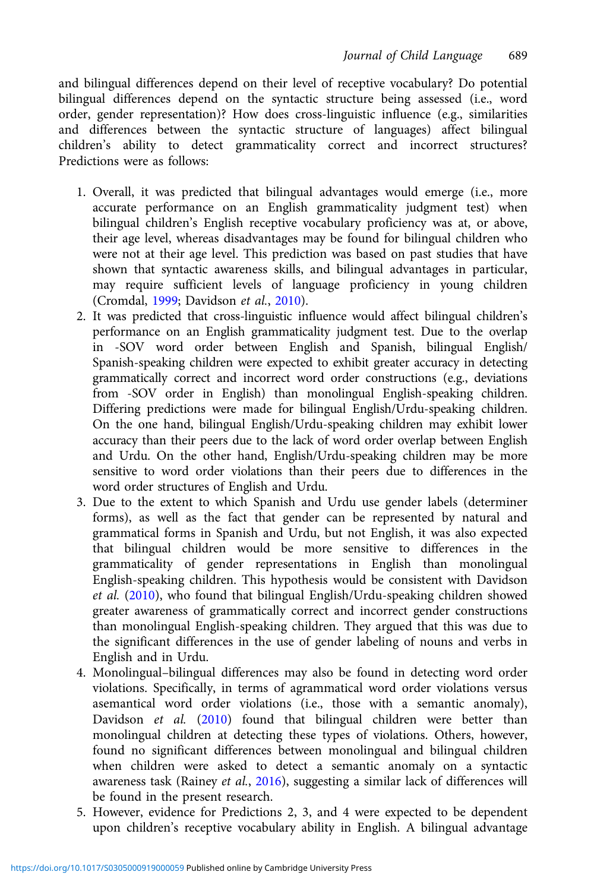and bilingual differences depend on their level of receptive vocabulary? Do potential bilingual differences depend on the syntactic structure being assessed (i.e., word order, gender representation)? How does cross-linguistic influence (e.g., similarities and differences between the syntactic structure of languages) affect bilingual children's ability to detect grammaticality correct and incorrect structures? Predictions were as follows:

- 1. Overall, it was predicted that bilingual advantages would emerge (i.e., more accurate performance on an English grammaticality judgment test) when bilingual children's English receptive vocabulary proficiency was at, or above, their age level, whereas disadvantages may be found for bilingual children who were not at their age level. This prediction was based on past studies that have shown that syntactic awareness skills, and bilingual advantages in particular, may require sufficient levels of language proficiency in young children (Cromdal, [1999](#page-22-0); Davidson et al., [2010](#page-22-0)).
- 2. It was predicted that cross-linguistic influence would affect bilingual children's performance on an English grammaticality judgment test. Due to the overlap in -SOV word order between English and Spanish, bilingual English/ Spanish-speaking children were expected to exhibit greater accuracy in detecting grammatically correct and incorrect word order constructions (e.g., deviations from -SOV order in English) than monolingual English-speaking children. Differing predictions were made for bilingual English/Urdu-speaking children. On the one hand, bilingual English/Urdu-speaking children may exhibit lower accuracy than their peers due to the lack of word order overlap between English and Urdu. On the other hand, English/Urdu-speaking children may be more sensitive to word order violations than their peers due to differences in the word order structures of English and Urdu.
- 3. Due to the extent to which Spanish and Urdu use gender labels (determiner forms), as well as the fact that gender can be represented by natural and grammatical forms in Spanish and Urdu, but not English, it was also expected that bilingual children would be more sensitive to differences in the grammaticality of gender representations in English than monolingual English-speaking children. This hypothesis would be consistent with Davidson et al. ([2010](#page-22-0)), who found that bilingual English/Urdu-speaking children showed greater awareness of grammatically correct and incorrect gender constructions than monolingual English-speaking children. They argued that this was due to the significant differences in the use of gender labeling of nouns and verbs in English and in Urdu.
- 4. Monolingual–bilingual differences may also be found in detecting word order violations. Specifically, in terms of agrammatical word order violations versus asemantical word order violations (i.e., those with a semantic anomaly), Davidson et al. [\(2010\)](#page-22-0) found that bilingual children were better than monolingual children at detecting these types of violations. Others, however, found no significant differences between monolingual and bilingual children when children were asked to detect a semantic anomaly on a syntactic awareness task (Rainey et al., [2016](#page-23-0)), suggesting a similar lack of differences will be found in the present research.
- 5. However, evidence for Predictions 2, 3, and 4 were expected to be dependent upon children's receptive vocabulary ability in English. A bilingual advantage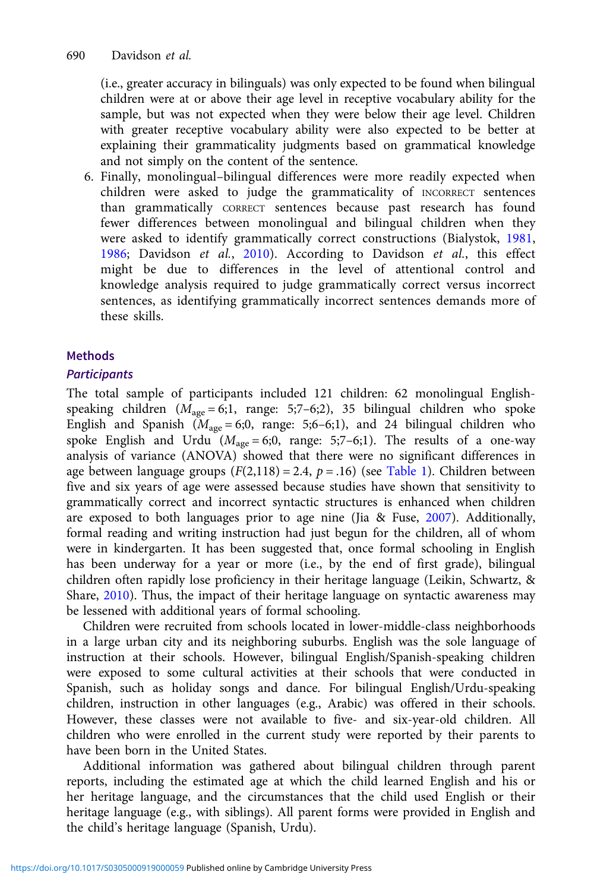(i.e., greater accuracy in bilinguals) was only expected to be found when bilingual children were at or above their age level in receptive vocabulary ability for the sample, but was not expected when they were below their age level. Children with greater receptive vocabulary ability were also expected to be better at explaining their grammaticality judgments based on grammatical knowledge and not simply on the content of the sentence.

6. Finally, monolingual–bilingual differences were more readily expected when children were asked to judge the grammaticality of INCORRECT sentences than grammatically CORRECT sentences because past research has found fewer differences between monolingual and bilingual children when they were asked to identify grammatically correct constructions (Bialystok, [1981](#page-21-0), [1986;](#page-21-0) Davidson et al., [2010\)](#page-22-0). According to Davidson et al., this effect might be due to differences in the level of attentional control and knowledge analysis required to judge grammatically correct versus incorrect sentences, as identifying grammatically incorrect sentences demands more of these skills.

# Methods

# **Participants**

The total sample of participants included 121 children: 62 monolingual Englishspeaking children  $(M_{\text{age}} = 6;1, \text{ range: } 5;7-6;2)$ , 35 bilingual children who spoke English and Spanish ( $M_{\text{age}} = 6;0$ , range: 5;6–6;1), and 24 bilingual children who spoke English and Urdu  $(M_{\text{age}} = 6; 0, \text{ range: } 5; 7-6; 1)$ . The results of a one-way analysis of variance (ANOVA) showed that there were no significant differences in age between language groups  $(F(2,118) = 2.4, p = .16)$  (see [Table 1\)](#page-9-0). Children between five and six years of age were assessed because studies have shown that sensitivity to grammatically correct and incorrect syntactic structures is enhanced when children are exposed to both languages prior to age nine (Jia & Fuse, [2007\)](#page-23-0). Additionally, formal reading and writing instruction had just begun for the children, all of whom were in kindergarten. It has been suggested that, once formal schooling in English has been underway for a year or more (i.e., by the end of first grade), bilingual children often rapidly lose proficiency in their heritage language (Leikin, Schwartz, & Share, [2010\)](#page-23-0). Thus, the impact of their heritage language on syntactic awareness may be lessened with additional years of formal schooling.

Children were recruited from schools located in lower-middle-class neighborhoods in a large urban city and its neighboring suburbs. English was the sole language of instruction at their schools. However, bilingual English/Spanish-speaking children were exposed to some cultural activities at their schools that were conducted in Spanish, such as holiday songs and dance. For bilingual English/Urdu-speaking children, instruction in other languages (e.g., Arabic) was offered in their schools. However, these classes were not available to five- and six-year-old children. All children who were enrolled in the current study were reported by their parents to have been born in the United States.

Additional information was gathered about bilingual children through parent reports, including the estimated age at which the child learned English and his or her heritage language, and the circumstances that the child used English or their heritage language (e.g., with siblings). All parent forms were provided in English and the child's heritage language (Spanish, Urdu).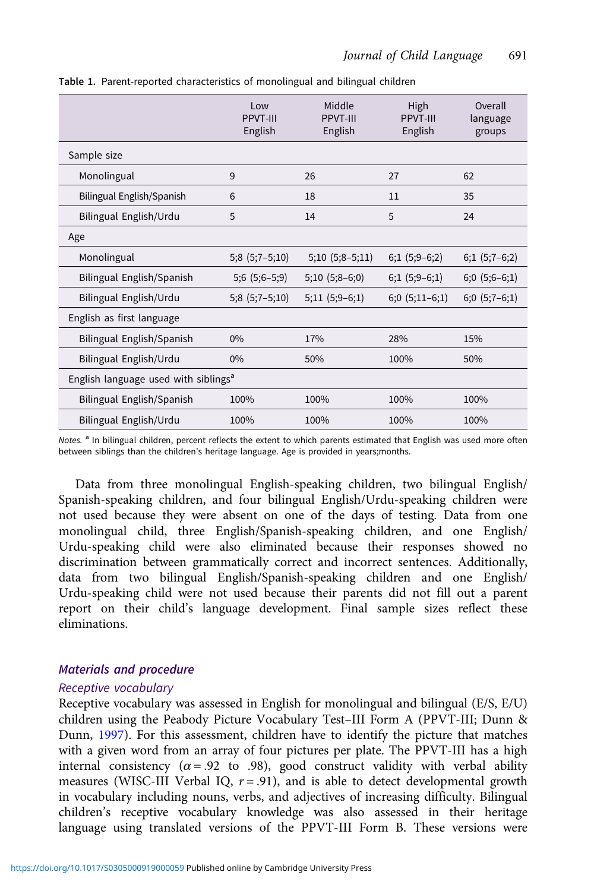|                                                  | Low<br>PPVT-III<br>English | Middle<br>PPVT-III<br>English | High<br>PPVT-III<br>English | Overall<br>language<br>groups |
|--------------------------------------------------|----------------------------|-------------------------------|-----------------------------|-------------------------------|
| Sample size                                      |                            |                               |                             |                               |
| Monolingual                                      | 9                          | 26                            | 27                          | 62                            |
| Bilingual English/Spanish                        | 6                          | 18                            | 11                          | 35                            |
| Bilingual English/Urdu                           | 5                          | 14                            | 5                           | 24                            |
| Age                                              |                            |                               |                             |                               |
| Monolingual                                      | $5;8(5;7-5;10)$            | $5;10(5;8-5;11)$              | $6;1(5;9-6;2)$              | $6;1(5;7-6;2)$                |
| Bilingual English/Spanish                        | $5;6(5;6-5;9)$             | $5;10(5;8-6;0)$               | $6;1(5;9-6;1)$              | $6;0(5;6-6;1)$                |
| Bilingual English/Urdu                           | $5;8(5;7-5;10)$            | $5;11(5;9-6;1)$               | $6;0(5;11-6;1)$             | $6;0(5;7-6;1)$                |
| English as first language                        |                            |                               |                             |                               |
| Bilingual English/Spanish                        | 0%                         | 17%                           | 28%                         | 15%                           |
| Bilingual English/Urdu                           | 0%                         | 50%                           | 100%                        | 50%                           |
| English language used with siblings <sup>a</sup> |                            |                               |                             |                               |
| Bilingual English/Spanish                        | 100%                       | 100%                          | 100%                        | 100%                          |
| Bilingual English/Urdu                           | 100%                       | 100%                          | 100%                        | 100%                          |

<span id="page-9-0"></span>Table 1. Parent-reported characteristics of monolingual and bilingual children

Notes. <sup>a</sup> In bilingual children, percent reflects the extent to which parents estimated that English was used more often between siblings than the children's heritage language. Age is provided in years;months.

Data from three monolingual English-speaking children, two bilingual English/ Spanish-speaking children, and four bilingual English/Urdu-speaking children were not used because they were absent on one of the days of testing. Data from one monolingual child, three English/Spanish-speaking children, and one English/ Urdu-speaking child were also eliminated because their responses showed no discrimination between grammatically correct and incorrect sentences. Additionally, data from two bilingual English/Spanish-speaking children and one English/ Urdu-speaking child were not used because their parents did not fill out a parent report on their child's language development. Final sample sizes reflect these eliminations.

# Materials and procedure

#### Receptive vocabulary

Receptive vocabulary was assessed in English for monolingual and bilingual (E/S, E/U) children using the Peabody Picture Vocabulary Test–III Form A (PPVT-III; Dunn & Dunn, [1997\)](#page-22-0). For this assessment, children have to identify the picture that matches with a given word from an array of four pictures per plate. The PPVT-III has a high internal consistency ( $\alpha$  = .92 to .98), good construct validity with verbal ability measures (WISC-III Verbal IQ,  $r = .91$ ), and is able to detect developmental growth in vocabulary including nouns, verbs, and adjectives of increasing difficulty. Bilingual children's receptive vocabulary knowledge was also assessed in their heritage language using translated versions of the PPVT-III Form B. These versions were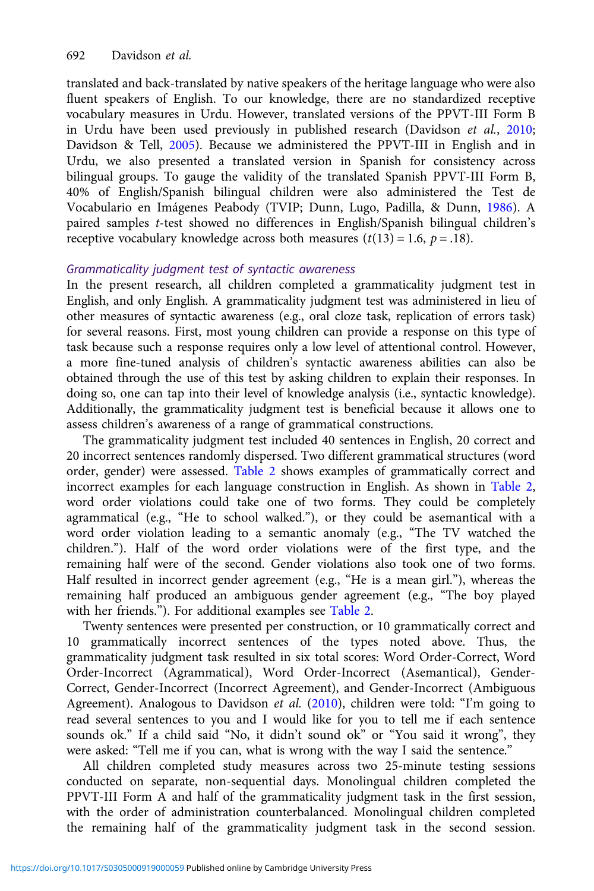translated and back-translated by native speakers of the heritage language who were also fluent speakers of English. To our knowledge, there are no standardized receptive vocabulary measures in Urdu. However, translated versions of the PPVT-III Form B in Urdu have been used previously in published research (Davidson et al., [2010](#page-22-0); Davidson & Tell, [2005](#page-22-0)). Because we administered the PPVT-III in English and in Urdu, we also presented a translated version in Spanish for consistency across bilingual groups. To gauge the validity of the translated Spanish PPVT-III Form B, 40% of English/Spanish bilingual children were also administered the Test de Vocabulario en Imágenes Peabody (TVIP; Dunn, Lugo, Padilla, & Dunn, [1986\)](#page-22-0). A paired samples t-test showed no differences in English/Spanish bilingual children's receptive vocabulary knowledge across both measures  $(t(13) = 1.6, p = .18)$ .

# Grammaticality judgment test of syntactic awareness

In the present research, all children completed a grammaticality judgment test in English, and only English. A grammaticality judgment test was administered in lieu of other measures of syntactic awareness (e.g., oral cloze task, replication of errors task) for several reasons. First, most young children can provide a response on this type of task because such a response requires only a low level of attentional control. However, a more fine-tuned analysis of children's syntactic awareness abilities can also be obtained through the use of this test by asking children to explain their responses. In doing so, one can tap into their level of knowledge analysis (i.e., syntactic knowledge). Additionally, the grammaticality judgment test is beneficial because it allows one to assess children's awareness of a range of grammatical constructions.

The grammaticality judgment test included 40 sentences in English, 20 correct and 20 incorrect sentences randomly dispersed. Two different grammatical structures (word order, gender) were assessed. [Table 2](#page-11-0) shows examples of grammatically correct and incorrect examples for each language construction in English. As shown in [Table 2](#page-11-0), word order violations could take one of two forms. They could be completely agrammatical (e.g., "He to school walked."), or they could be asemantical with a word order violation leading to a semantic anomaly (e.g., "The TV watched the children."). Half of the word order violations were of the first type, and the remaining half were of the second. Gender violations also took one of two forms. Half resulted in incorrect gender agreement (e.g., "He is a mean girl."), whereas the remaining half produced an ambiguous gender agreement (e.g., "The boy played with her friends."). For additional examples see [Table 2.](#page-11-0)

Twenty sentences were presented per construction, or 10 grammatically correct and 10 grammatically incorrect sentences of the types noted above. Thus, the grammaticality judgment task resulted in six total scores: Word Order-Correct, Word Order-Incorrect (Agrammatical), Word Order-Incorrect (Asemantical), Gender-Correct, Gender-Incorrect (Incorrect Agreement), and Gender-Incorrect (Ambiguous Agreement). Analogous to Davidson et al. [\(2010\)](#page-22-0), children were told: "I'm going to read several sentences to you and I would like for you to tell me if each sentence sounds ok." If a child said "No, it didn't sound ok" or "You said it wrong", they were asked: "Tell me if you can, what is wrong with the way I said the sentence."

All children completed study measures across two 25-minute testing sessions conducted on separate, non-sequential days. Monolingual children completed the PPVT-III Form A and half of the grammaticality judgment task in the first session, with the order of administration counterbalanced. Monolingual children completed the remaining half of the grammaticality judgment task in the second session.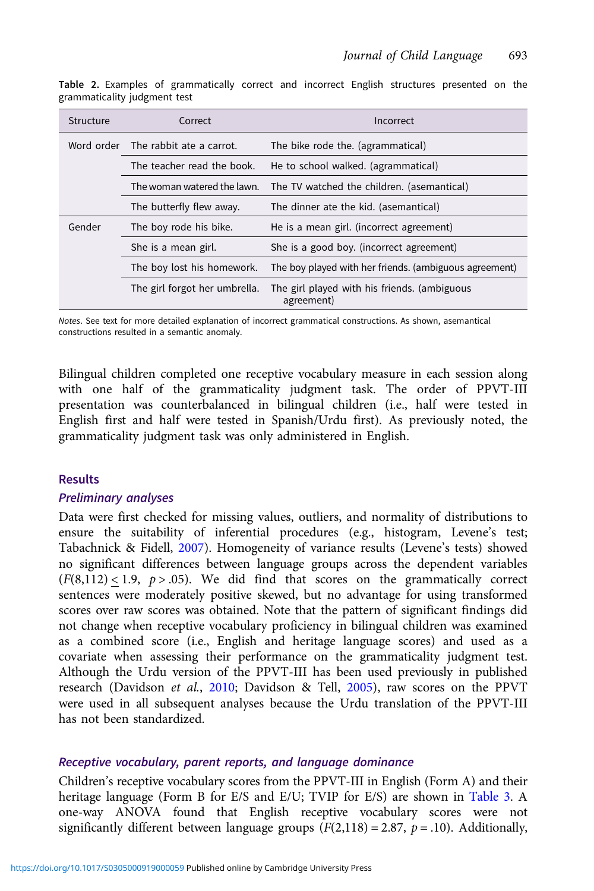| Structure | Correct                             | Incorrect                                                  |
|-----------|-------------------------------------|------------------------------------------------------------|
|           | Word order The rabbit ate a carrot. | The bike rode the. (agrammatical)                          |
|           | The teacher read the book.          | He to school walked. (agrammatical)                        |
|           | The woman watered the lawn.         | The TV watched the children. (asemantical)                 |
|           | The butterfly flew away.            | The dinner ate the kid. (asemantical)                      |
| Gender    | The boy rode his bike.              | He is a mean girl. (incorrect agreement)                   |
|           | She is a mean girl.                 | She is a good boy. (incorrect agreement)                   |
|           | The boy lost his homework.          | The boy played with her friends. (ambiguous agreement)     |
|           | The girl forgot her umbrella.       | The girl played with his friends. (ambiguous<br>agreement) |

<span id="page-11-0"></span>Table 2. Examples of grammatically correct and incorrect English structures presented on the grammaticality judgment test

Notes. See text for more detailed explanation of incorrect grammatical constructions. As shown, asemantical constructions resulted in a semantic anomaly.

Bilingual children completed one receptive vocabulary measure in each session along with one half of the grammaticality judgment task. The order of PPVT-III presentation was counterbalanced in bilingual children (i.e., half were tested in English first and half were tested in Spanish/Urdu first). As previously noted, the grammaticality judgment task was only administered in English.

#### **Results**

#### Preliminary analyses

Data were first checked for missing values, outliers, and normality of distributions to ensure the suitability of inferential procedures (e.g., histogram, Levene's test; Tabachnick & Fidell, [2007](#page-24-0)). Homogeneity of variance results (Levene's tests) showed no significant differences between language groups across the dependent variables  $(F(8,112) < 1.9, p > .05)$ . We did find that scores on the grammatically correct sentences were moderately positive skewed, but no advantage for using transformed scores over raw scores was obtained. Note that the pattern of significant findings did not change when receptive vocabulary proficiency in bilingual children was examined as a combined score (i.e., English and heritage language scores) and used as a covariate when assessing their performance on the grammaticality judgment test. Although the Urdu version of the PPVT-III has been used previously in published research (Davidson et al., [2010](#page-22-0); Davidson & Tell, [2005](#page-22-0)), raw scores on the PPVT were used in all subsequent analyses because the Urdu translation of the PPVT-III has not been standardized.

#### Receptive vocabulary, parent reports, and language dominance

Children's receptive vocabulary scores from the PPVT-III in English (Form A) and their heritage language (Form B for E/S and E/U; TVIP for E/S) are shown in [Table 3](#page-12-0). A one-way ANOVA found that English receptive vocabulary scores were not significantly different between language groups ( $F(2,118) = 2.87$ ,  $p = .10$ ). Additionally,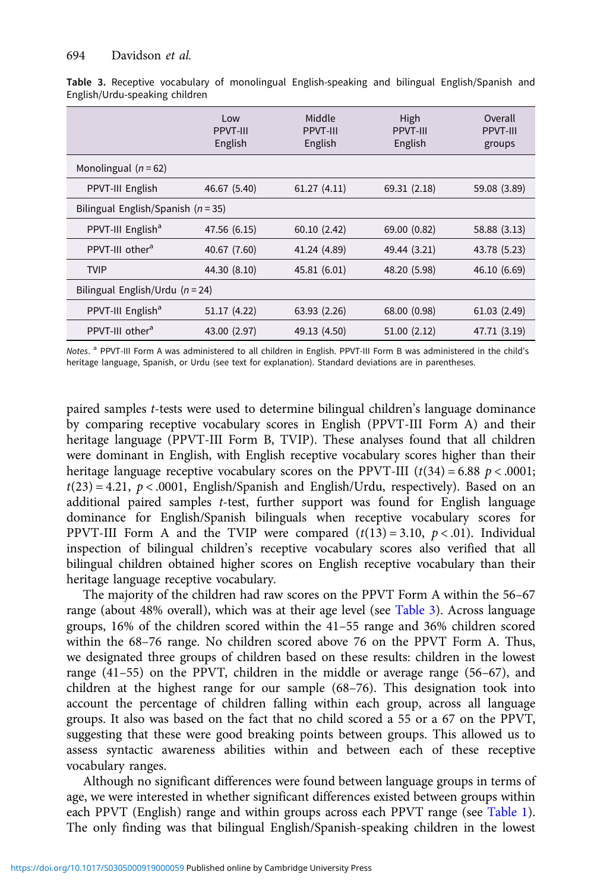|                                        | Low<br><b>PPVT-III</b><br>English | Middle<br><b>PPVT-III</b><br>English | High<br><b>PPVT-III</b><br>English | Overall<br><b>PPVT-III</b><br>groups |  |
|----------------------------------------|-----------------------------------|--------------------------------------|------------------------------------|--------------------------------------|--|
| Monolingual $(n = 62)$                 |                                   |                                      |                                    |                                      |  |
| PPVT-III English                       | 46.67 (5.40)                      | 61.27(4.11)                          | 69.31 (2.18)                       | 59.08 (3.89)                         |  |
| Bilingual English/Spanish ( $n = 35$ ) |                                   |                                      |                                    |                                      |  |
| PPVT-III English <sup>a</sup>          | 47.56 (6.15)                      | 60.10(2.42)                          | 69.00 (0.82)                       | 58.88 (3.13)                         |  |
| PPVT-III other <sup>a</sup>            | 40.67 (7.60)                      | 41.24 (4.89)                         | 49.44 (3.21)                       | 43.78 (5.23)                         |  |
| <b>TVIP</b>                            | 44.30 (8.10)                      | 45.81 (6.01)                         | 48.20 (5.98)                       | 46.10 (6.69)                         |  |
| Bilingual English/Urdu ( $n = 24$ )    |                                   |                                      |                                    |                                      |  |
| PPVT-III English <sup>a</sup>          | 51.17 (4.22)                      | 63.93 (2.26)                         | 68.00 (0.98)                       | 61.03(2.49)                          |  |
| PPVT-III other <sup>a</sup>            | 43.00 (2.97)                      | 49.13 (4.50)                         | 51.00(2.12)                        | 47.71 (3.19)                         |  |

<span id="page-12-0"></span>Table 3. Receptive vocabulary of monolingual English-speaking and bilingual English/Spanish and English/Urdu-speaking children

Notes. <sup>a</sup> PPVT-III Form A was administered to all children in English. PPVT-III Form B was administered in the child's heritage language, Spanish, or Urdu (see text for explanation). Standard deviations are in parentheses.

paired samples t-tests were used to determine bilingual children's language dominance by comparing receptive vocabulary scores in English (PPVT-III Form A) and their heritage language (PPVT-III Form B, TVIP). These analyses found that all children were dominant in English, with English receptive vocabulary scores higher than their heritage language receptive vocabulary scores on the PPVT-III  $(t(34) = 6.88 \, p < .0001;$  $t(23) = 4.21$ ,  $p < .0001$ , English/Spanish and English/Urdu, respectively). Based on an additional paired samples t-test, further support was found for English language dominance for English/Spanish bilinguals when receptive vocabulary scores for PPVT-III Form A and the TVIP were compared  $(t(13) = 3.10, p < .01)$ . Individual inspection of bilingual children's receptive vocabulary scores also verified that all bilingual children obtained higher scores on English receptive vocabulary than their heritage language receptive vocabulary.

The majority of the children had raw scores on the PPVT Form A within the 56–67 range (about 48% overall), which was at their age level (see Table 3). Across language groups, 16% of the children scored within the 41–55 range and 36% children scored within the 68–76 range. No children scored above 76 on the PPVT Form A. Thus, we designated three groups of children based on these results: children in the lowest range (41–55) on the PPVT, children in the middle or average range (56–67), and children at the highest range for our sample (68–76). This designation took into account the percentage of children falling within each group, across all language groups. It also was based on the fact that no child scored a 55 or a 67 on the PPVT, suggesting that these were good breaking points between groups. This allowed us to assess syntactic awareness abilities within and between each of these receptive vocabulary ranges.

Although no significant differences were found between language groups in terms of age, we were interested in whether significant differences existed between groups within each PPVT (English) range and within groups across each PPVT range (see [Table 1\)](#page-9-0). The only finding was that bilingual English/Spanish-speaking children in the lowest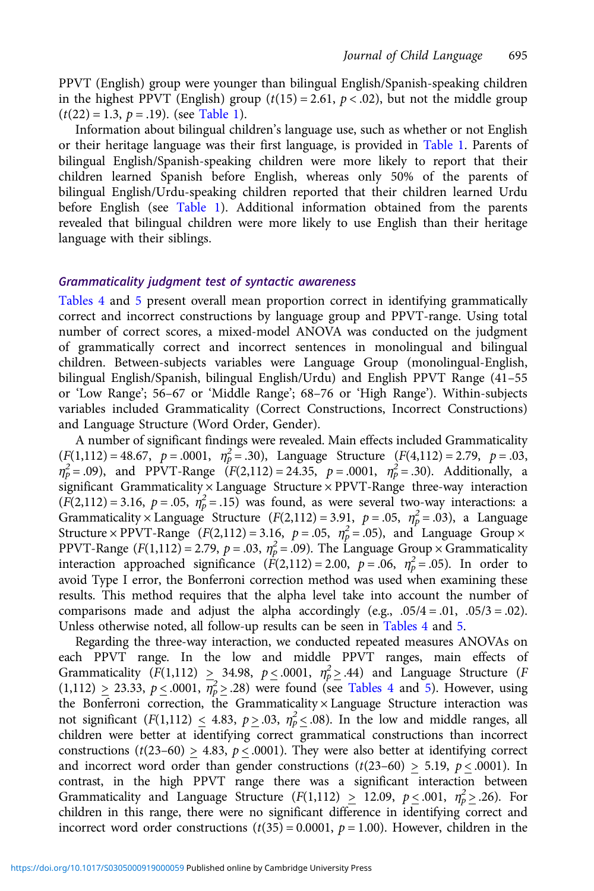PPVT (English) group were younger than bilingual English/Spanish-speaking children in the highest PPVT (English) group  $(t(15) = 2.61, p < .02)$ , but not the middle group  $(t(22) = 1.3, p = .19)$ . (see [Table 1\)](#page-9-0).

Information about bilingual children's language use, such as whether or not English or their heritage language was their first language, is provided in [Table 1.](#page-9-0) Parents of bilingual English/Spanish-speaking children were more likely to report that their children learned Spanish before English, whereas only 50% of the parents of bilingual English/Urdu-speaking children reported that their children learned Urdu before English (see [Table 1\)](#page-9-0). Additional information obtained from the parents revealed that bilingual children were more likely to use English than their heritage language with their siblings.

#### Grammaticality judgment test of syntactic awareness

[Tables 4](#page-14-0) and [5](#page-15-0) present overall mean proportion correct in identifying grammatically correct and incorrect constructions by language group and PPVT-range. Using total number of correct scores, a mixed-model ANOVA was conducted on the judgment of grammatically correct and incorrect sentences in monolingual and bilingual children. Between-subjects variables were Language Group (monolingual-English, bilingual English/Spanish, bilingual English/Urdu) and English PPVT Range (41–55 or 'Low Range'; 56–67 or 'Middle Range'; 68–76 or 'High Range'). Within-subjects variables included Grammaticality (Correct Constructions, Incorrect Constructions) and Language Structure (Word Order, Gender).

A number of significant findings were revealed. Main effects included Grammaticality  $(F(1,112) = 48.67, p = .0001, \eta_p^2 = .30)$ , Language Structure  $(F(4,112) = 2.79, p = .03,$  $\eta_p^2 = .09$ ), and PPVT-Range  $(F(2,112) = 24.35, p = .0001, \eta_p^2 = .30)$ . Additionally, a significant Grammaticality × Language Structure × PPVT-Range three-way interaction  $(F(2,112) = 3.16, p = .05, \eta_p^2 = .15)$  was found, as were several two-way interactions: a Grammaticality  $\times$  Language Structure ( $F(2,112) = 3.91$ ,  $p = .05$ ,  $\eta_p^2 = .03$ ), a Language Structure × PPVT-Range  $(F(2,112) = 3.16, p = .05, \eta_p^2 = .05)$ , and Language Group × PPVT-Range  $(F(1,112) = 2.79, p = .03, \eta_p^2 = .09)$ . The Language Group  $\times$  Grammaticality interaction approached significance  $(F(2,112) = 2.00, p = .06, \eta_p^2 = .05)$ . In order to avoid Type I error, the Bonferroni correction method was used when examining these results. This method requires that the alpha level take into account the number of comparisons made and adjust the alpha accordingly (e.g.,  $.05/4 = .01$ ,  $.05/3 = .02$ ). Unless otherwise noted, all follow-up results can be seen in [Tables 4](#page-14-0) and [5.](#page-15-0)

Regarding the three-way interaction, we conducted repeated measures ANOVAs on each PPVT range. In the low and middle PPVT ranges, main effects of Grammaticality  $(F(1,112) \geq 34.98, p \leq .0001, \eta_p^2 \geq .44)$  and Language Structure (F)  $(1,112) \ge 23.33, p \le .0001, \overline{\eta_p^2} \ge .28)$  were found (see [Tables 4](#page-14-0) and [5\)](#page-15-0). However, using the Bonferroni correction, the Grammaticality × Language Structure interaction was not significant  $(F(1,112) \le 4.83, p \ge .03, \eta_p^2 \le .08)$ . In the low and middle ranges, all children were better at identifying correct grammatical constructions than incorrect constructions ( $t(23–60) > 4.83$ ,  $p < .0001$ ). They were also better at identifying correct and incorrect word order than gender constructions  $(t(23-60) > 5.19, p < .0001)$ . In contrast, in the high PPVT range there was a significant interaction between Grammaticality and Language Structure  $(F(1,112) \ge 12.09, p \le .001, \eta_p^2 \ge .26)$ . For children in this range, there were no significant difference in identifying correct and incorrect word order constructions  $(t(35) = 0.0001, p = 1.00)$ . However, children in the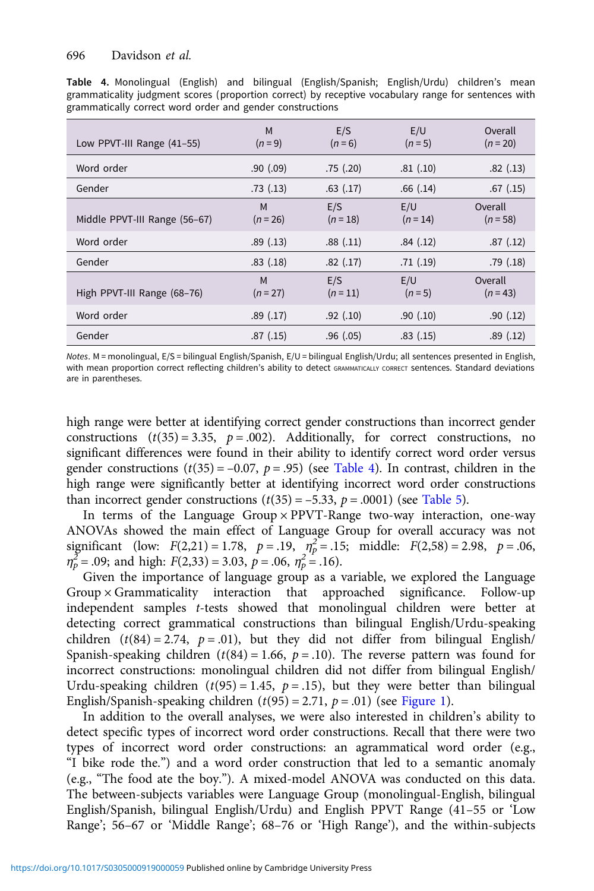<span id="page-14-0"></span>

|  |                                                           |  | Table 4. Monolingual (English) and bilingual (English/Spanish; English/Urdu) children's mean         |  |  |
|--|-----------------------------------------------------------|--|------------------------------------------------------------------------------------------------------|--|--|
|  |                                                           |  | grammaticality judgment scores (proportion correct) by receptive vocabulary range for sentences with |  |  |
|  | grammatically correct word order and gender constructions |  |                                                                                                      |  |  |

| Low PPVT-III Range (41-55)    | M<br>$(n=9)$    | E/S<br>$(n=6)$  | E/U<br>$(n=5)$  | Overall<br>$(n = 20)$ |
|-------------------------------|-----------------|-----------------|-----------------|-----------------------|
| Word order                    | .90(0.09)       | .75(.20)        | .81(.10)        | .82(.13)              |
| Gender                        | .73(.13)        | $.63$ $(.17)$   | .66(.14)        | $.67$ $(.15)$         |
| Middle PPVT-III Range (56-67) | M<br>$(n = 26)$ | E/S<br>$(n=18)$ | E/U<br>$(n=14)$ | Overall<br>$(n = 58)$ |
| Word order                    | .89(.13)        | .88(.11)        | .84(.12)        | .87(.12)              |
| Gender                        | .83(.18)        | .82(.17)        | .71(.19)        | .79(.18)              |
| High PPVT-III Range (68-76)   | M<br>$(n = 27)$ | E/S<br>$(n=11)$ | E/U<br>$(n=5)$  | Overall<br>$(n=43)$   |
| Word order                    | .89(.17)        | .92(.10)        | .90(.10)        | .90(.12)              |
| Gender                        | .87(.15)        | .96(.05)        | .83(.15)        | .89(.12)              |

Notes. M = monolingual, E/S = bilingual English/Spanish, E/U = bilingual English/Urdu; all sentences presented in English, with mean proportion correct reflecting children's ability to detect GRAMMATICALLY CORRECT sentences. Standard deviations are in parentheses.

high range were better at identifying correct gender constructions than incorrect gender constructions  $(t(35) = 3.35, p = .002)$ . Additionally, for correct constructions, no significant differences were found in their ability to identify correct word order versus gender constructions  $(t(35) = -0.07, p = .95)$  (see Table 4). In contrast, children in the high range were significantly better at identifying incorrect word order constructions than incorrect gender constructions  $(t(35) = -5.33, p = .0001)$  (see [Table 5\)](#page-15-0).

In terms of the Language Group × PPVT-Range two-way interaction, one-way ANOVAs showed the main effect of Language Group for overall accuracy was not significant (low:  $F(2,21) = 1.78$ ,  $p = .19$ ,  $\eta_p^2 = .15$ ; middle:  $F(2,58) = 2.98$ ,  $p = .06$ ,  $\eta_p^{\Sigma} = .09$ ; and high:  $F(2,33) = 3.03$ ,  $p = .06$ ,  $\eta_p^2 = .16$ ).

Given the importance of language group as a variable, we explored the Language  $Group \times Grammaticality$  interaction that approached significance. Follow-up independent samples t-tests showed that monolingual children were better at detecting correct grammatical constructions than bilingual English/Urdu-speaking children  $(t(84) = 2.74, p = .01)$ , but they did not differ from bilingual English/ Spanish-speaking children ( $t(84) = 1.66$ ,  $p = .10$ ). The reverse pattern was found for incorrect constructions: monolingual children did not differ from bilingual English/ Urdu-speaking children  $(t(95) = 1.45, p = .15)$ , but they were better than bilingual English/Spanish-speaking children  $(t(95) = 2.71, p = .01)$  (see [Figure 1\)](#page-16-0).

In addition to the overall analyses, we were also interested in children's ability to detect specific types of incorrect word order constructions. Recall that there were two types of incorrect word order constructions: an agrammatical word order (e.g., "I bike rode the.") and a word order construction that led to a semantic anomaly (e.g., "The food ate the boy."). A mixed-model ANOVA was conducted on this data. The between-subjects variables were Language Group (monolingual-English, bilingual English/Spanish, bilingual English/Urdu) and English PPVT Range (41–55 or 'Low Range'; 56–67 or 'Middle Range'; 68–76 or 'High Range'), and the within-subjects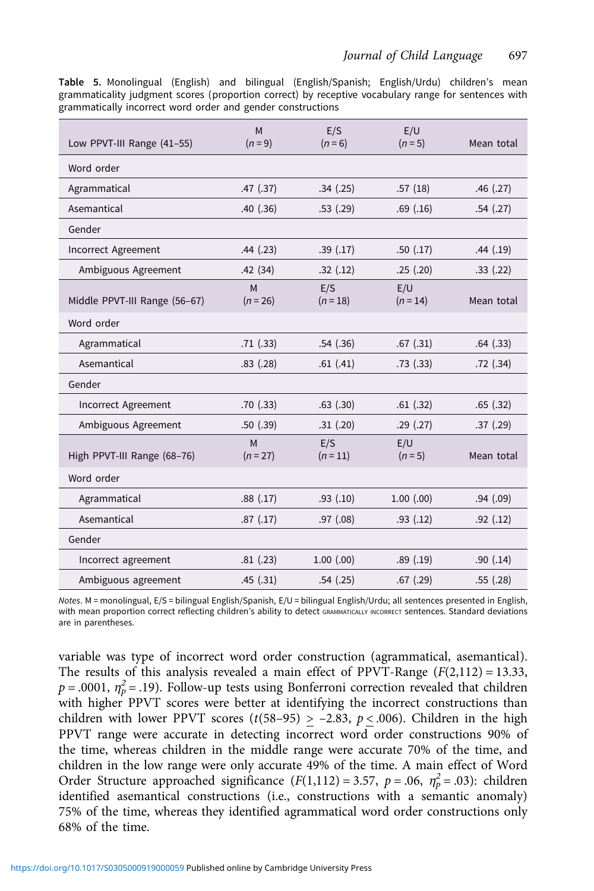<span id="page-15-0"></span>Table 5. Monolingual (English) and bilingual (English/Spanish; English/Urdu) children's mean grammaticality judgment scores (proportion correct) by receptive vocabulary range for sentences with grammatically incorrect word order and gender constructions

|                               | M               | E/S               | E/U               |            |
|-------------------------------|-----------------|-------------------|-------------------|------------|
| Low PPVT-III Range (41-55)    | $(n = 9)$       | $(n = 6)$         | $(n=5)$           | Mean total |
| Word order                    |                 |                   |                   |            |
| Agrammatical                  | .47(.37)        | .34(.25)          | .57(18)           | .46(.27)   |
| Asemantical                   | .40(.36)        | .53(.29)          | .69(.16)          | .54(.27)   |
| Gender                        |                 |                   |                   |            |
| Incorrect Agreement           | .44(.23)        | .39(.17)          | .50(.17)          | .44(.19)   |
| Ambiguous Agreement           | .42(34)         | .32(.12)          | .25(.20)          | .33(.22)   |
| Middle PPVT-III Range (56-67) | M<br>$(n = 26)$ | E/S<br>$(n = 18)$ | E/U<br>$(n = 14)$ | Mean total |
| Word order                    |                 |                   |                   |            |
| Agrammatical                  | .71(.33)        | .54(.36)          | .67(.31)          | .64(.33)   |
| Asemantical                   | .83(.28)        | .61(.41)          | .73(.33)          | .72(.34)   |
| Gender                        |                 |                   |                   |            |
| Incorrect Agreement           | .70(.33)        | $.63$ $(.30)$     | .61(.32)          | .65(.32)   |
| Ambiguous Agreement           | .50(.39)        | .31(.20)          | .29(.27)          | .37(.29)   |
| High PPVT-III Range (68-76)   | M<br>$(n = 27)$ | E/S<br>$(n = 11)$ | E/U<br>$(n = 5)$  | Mean total |
| Word order                    |                 |                   |                   |            |
| Agrammatical                  | .88(.17)        | .93(.10)          | $1.00$ $(.00)$    | .94(.09)   |
| Asemantical                   | .87(.17)        | .97(.08)          | .93(.12)          | .92(.12)   |
| Gender                        |                 |                   |                   |            |
| Incorrect agreement           | .81(.23)        | $1.00$ $(.00)$    | .89(.19)          | .90(.14)   |
| Ambiguous agreement           | .45(.31)        | .54(.25)          | $.67$ $(.29)$     | .55(.28)   |

Notes. M = monolingual, E/S = bilingual English/Spanish, E/U = bilingual English/Urdu; all sentences presented in English, with mean proportion correct reflecting children's ability to detect GRAMMATICALLY INCORRECT sentences. Standard deviations are in parentheses.

variable was type of incorrect word order construction (agrammatical, asemantical). The results of this analysis revealed a main effect of PPVT-Range  $(F(2,112) = 13.33,$  $p = .0001$ ,  $\eta_p^2 = .19$ ). Follow-up tests using Bonferroni correction revealed that children with higher PPVT scores were better at identifying the incorrect constructions than children with lower PPVT scores  $(t(58-95) > -2.83, p < .006)$ . Children in the high PPVT range were accurate in detecting incorrect word order constructions 90% of the time, whereas children in the middle range were accurate 70% of the time, and children in the low range were only accurate 49% of the time. A main effect of Word Order Structure approached significance  $(F(1,112) = 3.57, p = .06, \eta_p^2 = .03)$ : children identified asemantical constructions (i.e., constructions with a semantic anomaly) 75% of the time, whereas they identified agrammatical word order constructions only 68% of the time.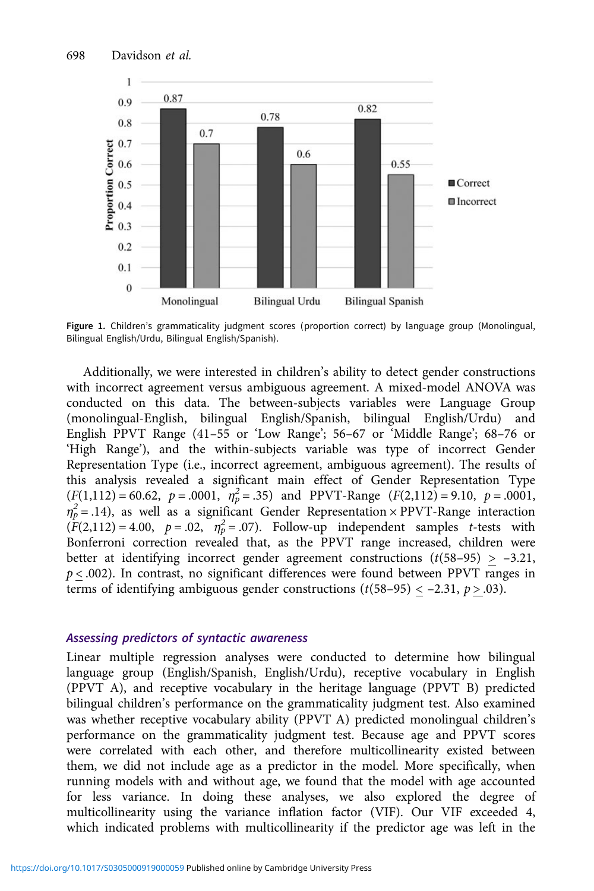<span id="page-16-0"></span>

Figure 1. Children's grammaticality judgment scores (proportion correct) by language group (Monolingual, Bilingual English/Urdu, Bilingual English/Spanish).

Additionally, we were interested in children's ability to detect gender constructions with incorrect agreement versus ambiguous agreement. A mixed-model ANOVA was conducted on this data. The between-subjects variables were Language Group (monolingual-English, bilingual English/Spanish, bilingual English/Urdu) and English PPVT Range (41–55 or 'Low Range'; 56–67 or 'Middle Range'; 68–76 or 'High Range'), and the within-subjects variable was type of incorrect Gender Representation Type (i.e., incorrect agreement, ambiguous agreement). The results of this analysis revealed a significant main effect of Gender Representation Type  $(F(1,112) = 60.62, p = .0001, \eta_p^2 = .35)$  and PPVT-Range  $(F(2,112) = 9.10, p = .0001,$  $\eta_p^2$  = .14), as well as a significant Gender Representation × PPVT-Range interaction  $(F(2,112) = 4.00, p = .02, \eta_p^2 = .07)$ . Follow-up independent samples *t*-tests with Bonferroni correction revealed that, as the PPVT range increased, children were better at identifying incorrect gender agreement constructions  $(t(58-95) > -3.21$ ,  $p < .002$ ). In contrast, no significant differences were found between PPVT ranges in terms of identifying ambiguous gender constructions  $(t(58-95) < -2.31, p > .03)$ .

#### Assessing predictors of syntactic awareness

Linear multiple regression analyses were conducted to determine how bilingual language group (English/Spanish, English/Urdu), receptive vocabulary in English (PPVT A), and receptive vocabulary in the heritage language (PPVT B) predicted bilingual children's performance on the grammaticality judgment test. Also examined was whether receptive vocabulary ability (PPVT A) predicted monolingual children's performance on the grammaticality judgment test. Because age and PPVT scores were correlated with each other, and therefore multicollinearity existed between them, we did not include age as a predictor in the model. More specifically, when running models with and without age, we found that the model with age accounted for less variance. In doing these analyses, we also explored the degree of multicollinearity using the variance inflation factor (VIF). Our VIF exceeded 4, which indicated problems with multicollinearity if the predictor age was left in the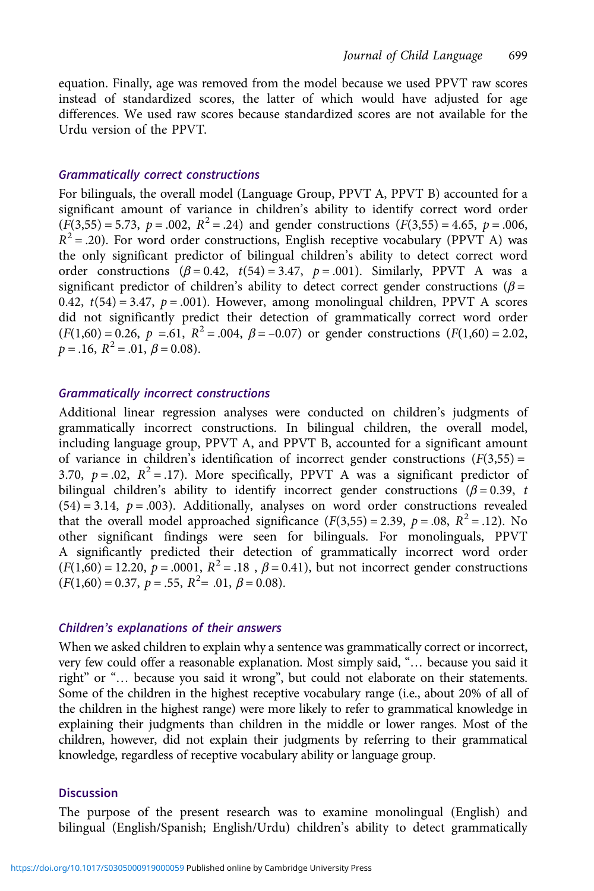equation. Finally, age was removed from the model because we used PPVT raw scores instead of standardized scores, the latter of which would have adjusted for age differences. We used raw scores because standardized scores are not available for the Urdu version of the PPVT.

#### Grammatically correct constructions

For bilinguals, the overall model (Language Group, PPVT A, PPVT B) accounted for a significant amount of variance in children's ability to identify correct word order  $(F(3,55) = 5.73, p = .002, R^2 = .24)$  and gender constructions  $(F(3,55) = 4.65, p = .006,$  $R^2 = .20$ ). For word order constructions, English receptive vocabulary (PPVT A) was the only significant predictor of bilingual children's ability to detect correct word order constructions  $(\beta = 0.42, t(54) = 3.47, p = .001)$ . Similarly, PPVT A was a significant predictor of children's ability to detect correct gender constructions ( $\beta$  = 0.42,  $t(54) = 3.47$ ,  $p = .001$ ). However, among monolingual children, PPVT A scores did not significantly predict their detection of grammatically correct word order  $(F(1,60) = 0.26, p = .61, R^2 = .004, \beta = -0.07)$  or gender constructions  $(F(1,60) = 2.02,$  $p = .16$ ,  $R^2 = .01$ ,  $\beta = 0.08$ ).

#### Grammatically incorrect constructions

Additional linear regression analyses were conducted on children's judgments of grammatically incorrect constructions. In bilingual children, the overall model, including language group, PPVT A, and PPVT B, accounted for a significant amount of variance in children's identification of incorrect gender constructions  $(F(3,55)$  = 3.70,  $p = .02$ ,  $R^2 = .17$ ). More specifically, PPVT A was a significant predictor of bilingual children's ability to identify incorrect gender constructions ( $\beta$  = 0.39, t  $(54) = 3.14$ ,  $p = .003$ ). Additionally, analyses on word order constructions revealed that the overall model approached significance  $(F(3,55) = 2.39, p = .08, R^2 = .12)$ . No other significant findings were seen for bilinguals. For monolinguals, PPVT A significantly predicted their detection of grammatically incorrect word order  $(F(1,60) = 12.20, p = .0001, R^2 = .18, \beta = 0.41)$ , but not incorrect gender constructions  $(F(1,60) = 0.37, p = .55, R^2 = .01, \beta = 0.08).$ 

#### Children's explanations of their answers

When we asked children to explain why a sentence was grammatically correct or incorrect, very few could offer a reasonable explanation. Most simply said, "… because you said it right" or "… because you said it wrong", but could not elaborate on their statements. Some of the children in the highest receptive vocabulary range (i.e., about 20% of all of the children in the highest range) were more likely to refer to grammatical knowledge in explaining their judgments than children in the middle or lower ranges. Most of the children, however, did not explain their judgments by referring to their grammatical knowledge, regardless of receptive vocabulary ability or language group.

# **Discussion**

The purpose of the present research was to examine monolingual (English) and bilingual (English/Spanish; English/Urdu) children's ability to detect grammatically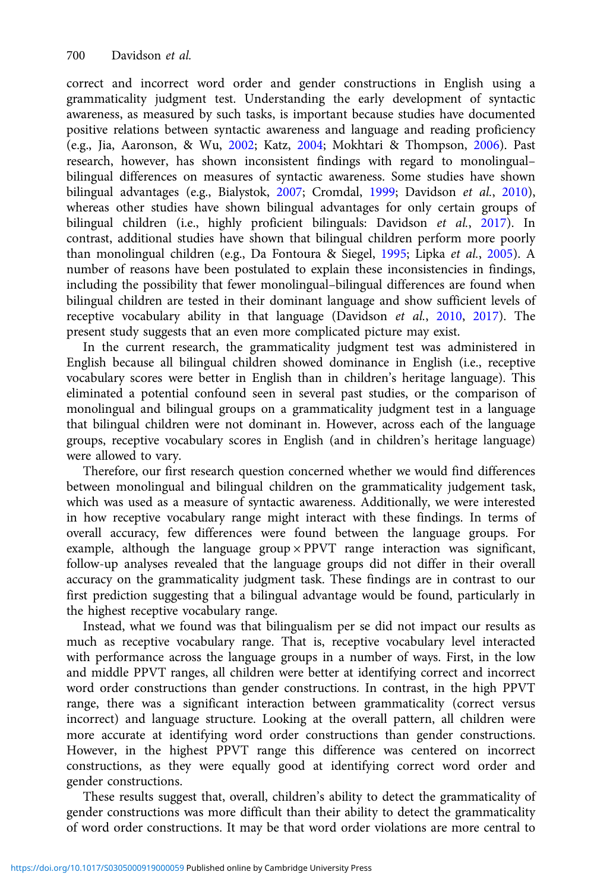correct and incorrect word order and gender constructions in English using a grammaticality judgment test. Understanding the early development of syntactic awareness, as measured by such tasks, is important because studies have documented positive relations between syntactic awareness and language and reading proficiency (e.g., Jia, Aaronson, & Wu, [2002](#page-23-0); Katz, [2004](#page-23-0); Mokhtari & Thompson, [2006](#page-23-0)). Past research, however, has shown inconsistent findings with regard to monolingual– bilingual differences on measures of syntactic awareness. Some studies have shown bilingual advantages (e.g., Bialystok, [2007](#page-21-0); Cromdal, [1999;](#page-22-0) Davidson et al., [2010\)](#page-22-0), whereas other studies have shown bilingual advantages for only certain groups of bilingual children (i.e., highly proficient bilinguals: Davidson et al., [2017](#page-22-0)). In contrast, additional studies have shown that bilingual children perform more poorly than monolingual children (e.g., Da Fontoura & Siegel, [1995;](#page-22-0) Lipka et al., [2005](#page-23-0)). A number of reasons have been postulated to explain these inconsistencies in findings, including the possibility that fewer monolingual–bilingual differences are found when bilingual children are tested in their dominant language and show sufficient levels of receptive vocabulary ability in that language (Davidson et al., [2010](#page-22-0), [2017\)](#page-22-0). The present study suggests that an even more complicated picture may exist.

In the current research, the grammaticality judgment test was administered in English because all bilingual children showed dominance in English (i.e., receptive vocabulary scores were better in English than in children's heritage language). This eliminated a potential confound seen in several past studies, or the comparison of monolingual and bilingual groups on a grammaticality judgment test in a language that bilingual children were not dominant in. However, across each of the language groups, receptive vocabulary scores in English (and in children's heritage language) were allowed to vary.

Therefore, our first research question concerned whether we would find differences between monolingual and bilingual children on the grammaticality judgement task, which was used as a measure of syntactic awareness. Additionally, we were interested in how receptive vocabulary range might interact with these findings. In terms of overall accuracy, few differences were found between the language groups. For example, although the language group × PPVT range interaction was significant, follow-up analyses revealed that the language groups did not differ in their overall accuracy on the grammaticality judgment task. These findings are in contrast to our first prediction suggesting that a bilingual advantage would be found, particularly in the highest receptive vocabulary range.

Instead, what we found was that bilingualism per se did not impact our results as much as receptive vocabulary range. That is, receptive vocabulary level interacted with performance across the language groups in a number of ways. First, in the low and middle PPVT ranges, all children were better at identifying correct and incorrect word order constructions than gender constructions. In contrast, in the high PPVT range, there was a significant interaction between grammaticality (correct versus incorrect) and language structure. Looking at the overall pattern, all children were more accurate at identifying word order constructions than gender constructions. However, in the highest PPVT range this difference was centered on incorrect constructions, as they were equally good at identifying correct word order and gender constructions.

These results suggest that, overall, children's ability to detect the grammaticality of gender constructions was more difficult than their ability to detect the grammaticality of word order constructions. It may be that word order violations are more central to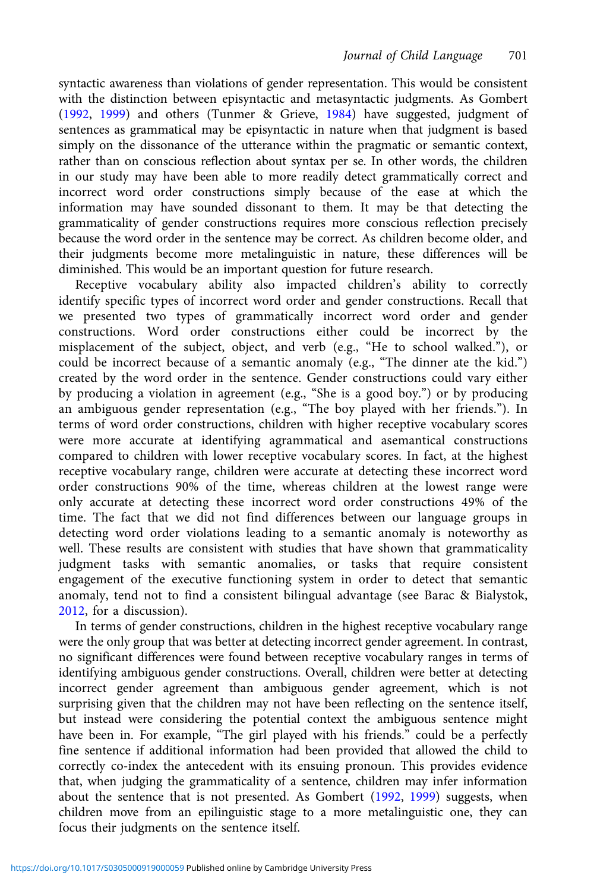syntactic awareness than violations of gender representation. This would be consistent with the distinction between episyntactic and metasyntactic judgments. As Gombert ([1992,](#page-22-0) [1999](#page-22-0)) and others (Tunmer & Grieve, [1984](#page-24-0)) have suggested, judgment of sentences as grammatical may be episyntactic in nature when that judgment is based simply on the dissonance of the utterance within the pragmatic or semantic context, rather than on conscious reflection about syntax per se. In other words, the children in our study may have been able to more readily detect grammatically correct and incorrect word order constructions simply because of the ease at which the information may have sounded dissonant to them. It may be that detecting the grammaticality of gender constructions requires more conscious reflection precisely because the word order in the sentence may be correct. As children become older, and their judgments become more metalinguistic in nature, these differences will be diminished. This would be an important question for future research.

Receptive vocabulary ability also impacted children's ability to correctly identify specific types of incorrect word order and gender constructions. Recall that we presented two types of grammatically incorrect word order and gender constructions. Word order constructions either could be incorrect by the misplacement of the subject, object, and verb (e.g., "He to school walked."), or could be incorrect because of a semantic anomaly (e.g., "The dinner ate the kid.") created by the word order in the sentence. Gender constructions could vary either by producing a violation in agreement (e.g., "She is a good boy.") or by producing an ambiguous gender representation (e.g., "The boy played with her friends."). In terms of word order constructions, children with higher receptive vocabulary scores were more accurate at identifying agrammatical and asemantical constructions compared to children with lower receptive vocabulary scores. In fact, at the highest receptive vocabulary range, children were accurate at detecting these incorrect word order constructions 90% of the time, whereas children at the lowest range were only accurate at detecting these incorrect word order constructions 49% of the time. The fact that we did not find differences between our language groups in detecting word order violations leading to a semantic anomaly is noteworthy as well. These results are consistent with studies that have shown that grammaticality judgment tasks with semantic anomalies, or tasks that require consistent engagement of the executive functioning system in order to detect that semantic anomaly, tend not to find a consistent bilingual advantage (see Barac & Bialystok, [2012,](#page-21-0) for a discussion).

In terms of gender constructions, children in the highest receptive vocabulary range were the only group that was better at detecting incorrect gender agreement. In contrast, no significant differences were found between receptive vocabulary ranges in terms of identifying ambiguous gender constructions. Overall, children were better at detecting incorrect gender agreement than ambiguous gender agreement, which is not surprising given that the children may not have been reflecting on the sentence itself, but instead were considering the potential context the ambiguous sentence might have been in. For example, "The girl played with his friends." could be a perfectly fine sentence if additional information had been provided that allowed the child to correctly co-index the antecedent with its ensuing pronoun. This provides evidence that, when judging the grammaticality of a sentence, children may infer information about the sentence that is not presented. As Gombert [\(1992,](#page-22-0) [1999\)](#page-22-0) suggests, when children move from an epilinguistic stage to a more metalinguistic one, they can focus their judgments on the sentence itself.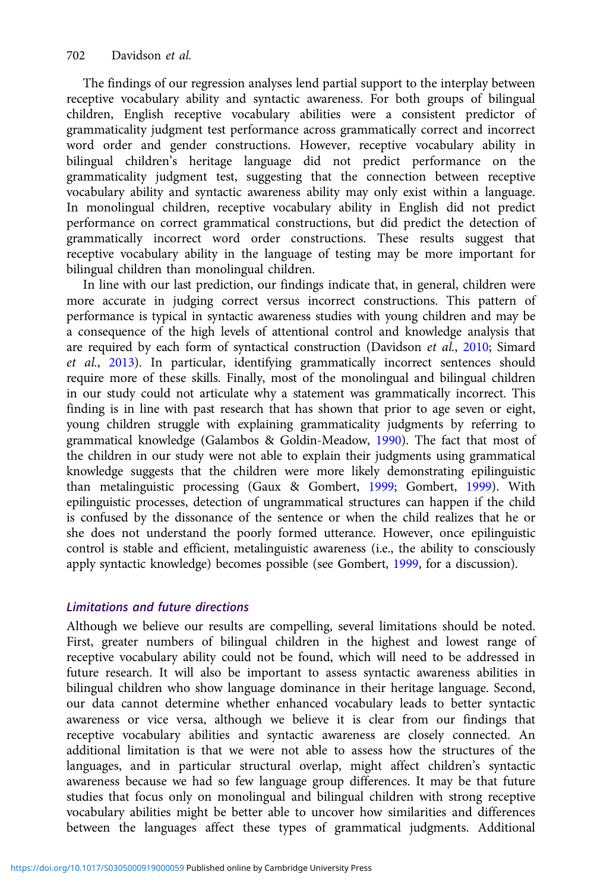The findings of our regression analyses lend partial support to the interplay between receptive vocabulary ability and syntactic awareness. For both groups of bilingual children, English receptive vocabulary abilities were a consistent predictor of grammaticality judgment test performance across grammatically correct and incorrect word order and gender constructions. However, receptive vocabulary ability in bilingual children's heritage language did not predict performance on the grammaticality judgment test, suggesting that the connection between receptive vocabulary ability and syntactic awareness ability may only exist within a language. In monolingual children, receptive vocabulary ability in English did not predict performance on correct grammatical constructions, but did predict the detection of grammatically incorrect word order constructions. These results suggest that receptive vocabulary ability in the language of testing may be more important for bilingual children than monolingual children.

In line with our last prediction, our findings indicate that, in general, children were more accurate in judging correct versus incorrect constructions. This pattern of performance is typical in syntactic awareness studies with young children and may be a consequence of the high levels of attentional control and knowledge analysis that are required by each form of syntactical construction (Davidson et al., [2010](#page-22-0); Simard et al., [2013](#page-23-0)). In particular, identifying grammatically incorrect sentences should require more of these skills. Finally, most of the monolingual and bilingual children in our study could not articulate why a statement was grammatically incorrect. This finding is in line with past research that has shown that prior to age seven or eight, young children struggle with explaining grammaticality judgments by referring to grammatical knowledge (Galambos & Goldin-Meadow, [1990](#page-22-0)). The fact that most of the children in our study were not able to explain their judgments using grammatical knowledge suggests that the children were more likely demonstrating epilinguistic than metalinguistic processing (Gaux & Gombert, [1999;](#page-22-0) Gombert, [1999\)](#page-22-0). With epilinguistic processes, detection of ungrammatical structures can happen if the child is confused by the dissonance of the sentence or when the child realizes that he or she does not understand the poorly formed utterance. However, once epilinguistic control is stable and efficient, metalinguistic awareness (i.e., the ability to consciously apply syntactic knowledge) becomes possible (see Gombert, [1999,](#page-22-0) for a discussion).

# Limitations and future directions

Although we believe our results are compelling, several limitations should be noted. First, greater numbers of bilingual children in the highest and lowest range of receptive vocabulary ability could not be found, which will need to be addressed in future research. It will also be important to assess syntactic awareness abilities in bilingual children who show language dominance in their heritage language. Second, our data cannot determine whether enhanced vocabulary leads to better syntactic awareness or vice versa, although we believe it is clear from our findings that receptive vocabulary abilities and syntactic awareness are closely connected. An additional limitation is that we were not able to assess how the structures of the languages, and in particular structural overlap, might affect children's syntactic awareness because we had so few language group differences. It may be that future studies that focus only on monolingual and bilingual children with strong receptive vocabulary abilities might be better able to uncover how similarities and differences between the languages affect these types of grammatical judgments. Additional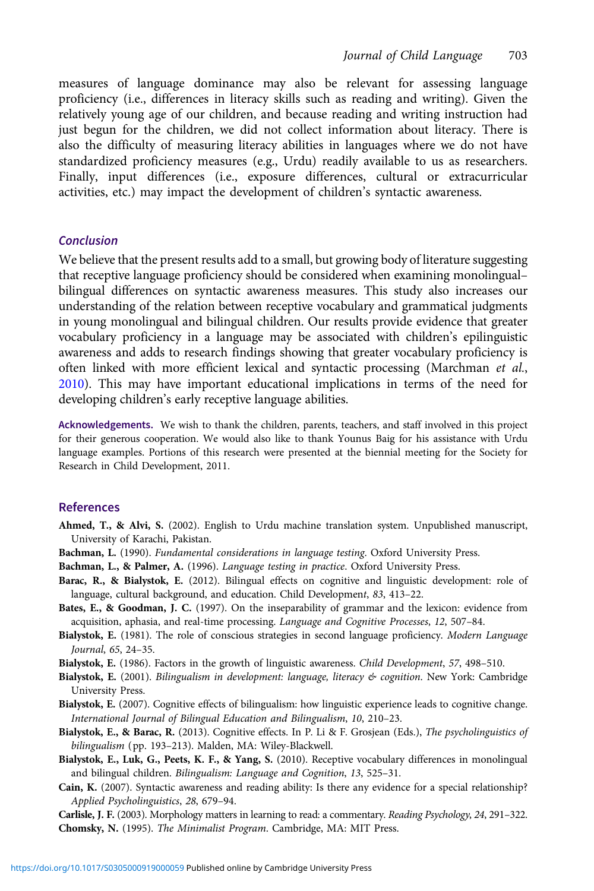<span id="page-21-0"></span>measures of language dominance may also be relevant for assessing language proficiency (i.e., differences in literacy skills such as reading and writing). Given the relatively young age of our children, and because reading and writing instruction had just begun for the children, we did not collect information about literacy. There is also the difficulty of measuring literacy abilities in languages where we do not have standardized proficiency measures (e.g., Urdu) readily available to us as researchers. Finally, input differences (i.e., exposure differences, cultural or extracurricular activities, etc.) may impact the development of children's syntactic awareness.

#### Conclusion

We believe that the present results add to a small, but growing body of literature suggesting that receptive language proficiency should be considered when examining monolingual– bilingual differences on syntactic awareness measures. This study also increases our understanding of the relation between receptive vocabulary and grammatical judgments in young monolingual and bilingual children. Our results provide evidence that greater vocabulary proficiency in a language may be associated with children's epilinguistic awareness and adds to research findings showing that greater vocabulary proficiency is often linked with more efficient lexical and syntactic processing (Marchman et al., [2010](#page-23-0)). This may have important educational implications in terms of the need for developing children's early receptive language abilities.

Acknowledgements. We wish to thank the children, parents, teachers, and staff involved in this project for their generous cooperation. We would also like to thank Younus Baig for his assistance with Urdu language examples. Portions of this research were presented at the biennial meeting for the Society for Research in Child Development, 2011.

# References

- Ahmed, T., & Alvi, S. (2002). English to Urdu machine translation system. Unpublished manuscript, University of Karachi, Pakistan.
- Bachman, L. (1990). Fundamental considerations in language testing. Oxford University Press.
- Bachman, L., & Palmer, A. (1996). Language testing in practice. Oxford University Press.
- Barac, R., & Bialystok, E. (2012). Bilingual effects on cognitive and linguistic development: role of language, cultural background, and education. Child Development, 83, 413–22.
- Bates, E., & Goodman, J. C. (1997). On the inseparability of grammar and the lexicon: evidence from acquisition, aphasia, and real-time processing. Language and Cognitive Processes, 12, 507–84.
- Bialystok, E. (1981). The role of conscious strategies in second language proficiency. Modern Language Journal, 65, 24–35.
- Bialystok, E. (1986). Factors in the growth of linguistic awareness. Child Development, 57, 498–510.
- Bialystok, E. (2001). Bilingualism in development: language, literacy & cognition. New York: Cambridge University Press.
- Bialystok, E. (2007). Cognitive effects of bilingualism: how linguistic experience leads to cognitive change. International Journal of Bilingual Education and Bilingualism, 10, 210–23.
- Bialystok, E., & Barac, R. (2013). Cognitive effects. In P. Li & F. Grosjean (Eds.), The psycholinguistics of bilingualism (pp. 193–213). Malden, MA: Wiley-Blackwell.
- Bialystok, E., Luk, G., Peets, K. F., & Yang, S. (2010). Receptive vocabulary differences in monolingual and bilingual children. Bilingualism: Language and Cognition, 13, 525–31.
- Cain, K. (2007). Syntactic awareness and reading ability: Is there any evidence for a special relationship? Applied Psycholinguistics, 28, 679–94.
- Carlisle, J. F. (2003). Morphology matters in learning to read: a commentary. Reading Psychology, 24, 291–322. Chomsky, N. (1995). The Minimalist Program. Cambridge, MA: MIT Press.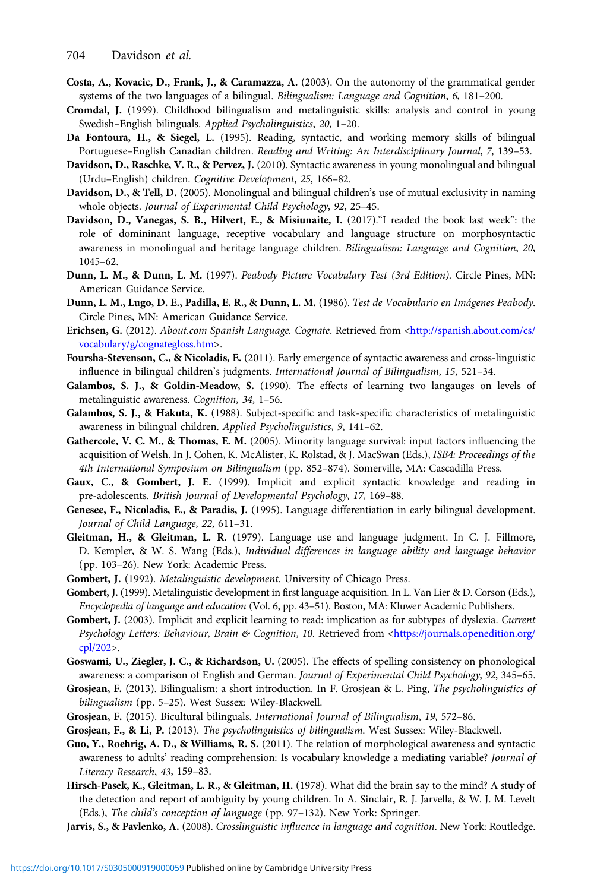- <span id="page-22-0"></span>Costa, A., Kovacic, D., Frank, J., & Caramazza, A. (2003). On the autonomy of the grammatical gender systems of the two languages of a bilingual. Bilingualism: Language and Cognition, 6, 181–200.
- Cromdal, J. (1999). Childhood bilingualism and metalinguistic skills: analysis and control in young Swedish–English bilinguals. Applied Psycholinguistics, 20, 1–20.
- Da Fontoura, H., & Siegel, L. (1995). Reading, syntactic, and working memory skills of bilingual Portuguese–English Canadian children. Reading and Writing: An Interdisciplinary Journal, 7, 139–53.
- Davidson, D., Raschke, V. R., & Pervez, J. (2010). Syntactic awareness in young monolingual and bilingual (Urdu–English) children. Cognitive Development, 25, 166–82.
- Davidson, D., & Tell, D. (2005). Monolingual and bilingual children's use of mutual exclusivity in naming whole objects. Journal of Experimental Child Psychology, 92, 25–45.
- Davidson, D., Vanegas, S. B., Hilvert, E., & Misiunaite, I. (2017)."I readed the book last week": the role of domininant language, receptive vocabulary and language structure on morphosyntactic awareness in monolingual and heritage language children. Bilingualism: Language and Cognition, 20, 1045–62.
- Dunn, L. M., & Dunn, L. M. (1997). Peabody Picture Vocabulary Test (3rd Edition). Circle Pines, MN: American Guidance Service.
- Dunn, L. M., Lugo, D. E., Padilla, E. R., & Dunn, L. M. (1986). Test de Vocabulario en Imágenes Peabody. Circle Pines, MN: American Guidance Service.
- Erichsen, G. (2012). About.com Spanish Language. Cognate. Retrieved from [<http://spanish.about.com/cs/](http://spanish.about.com/cs/vocabulary/g/cognategloss.htm) [vocabulary/g/cognategloss.htm](http://spanish.about.com/cs/vocabulary/g/cognategloss.htm)>.
- Foursha-Stevenson, C., & Nicoladis, E. (2011). Early emergence of syntactic awareness and cross-linguistic influence in bilingual children's judgments. International Journal of Bilingualism, 15, 521–34.
- Galambos, S. J., & Goldin-Meadow, S. (1990). The effects of learning two langauges on levels of metalinguistic awareness. Cognition, 34, 1–56.
- Galambos, S. J., & Hakuta, K. (1988). Subject-specific and task-specific characteristics of metalinguistic awareness in bilingual children. Applied Psycholinguistics, 9, 141–62.
- Gathercole, V. C. M., & Thomas, E. M. (2005). Minority language survival: input factors influencing the acquisition of Welsh. In J. Cohen, K. McAlister, K. Rolstad, & J. MacSwan (Eds.), ISB4: Proceedings of the 4th International Symposium on Bilingualism (pp. 852–874). Somerville, MA: Cascadilla Press.
- Gaux, C., & Gombert, J. E. (1999). Implicit and explicit syntactic knowledge and reading in pre-adolescents. British Journal of Developmental Psychology, 17, 169–88.
- Genesee, F., Nicoladis, E., & Paradis, J. (1995). Language differentiation in early bilingual development. Journal of Child Language, 22, 611–31.
- Gleitman, H., & Gleitman, L. R. (1979). Language use and language judgment. In C. J. Fillmore, D. Kempler, & W. S. Wang (Eds.), Individual differences in language ability and language behavior (pp. 103–26). New York: Academic Press.
- Gombert, J. (1992). Metalinguistic development. University of Chicago Press.
- Gombert, J. (1999). Metalinguistic development in first language acquisition. In L. Van Lier & D. Corson (Eds.), Encyclopedia of language and education (Vol. 6, pp. 43–51). Boston, MA: Kluwer Academic Publishers.
- Gombert, J. (2003). Implicit and explicit learning to read: implication as for subtypes of dyslexia. Current Psychology Letters: Behaviour, Brain & Cognition, 10. Retrieved from <[https://journals.openedition.org/](https://journals.openedition.org/cpl/202) [cpl/202>](https://journals.openedition.org/cpl/202).
- Goswami, U., Ziegler, J. C., & Richardson, U. (2005). The effects of spelling consistency on phonological awareness: a comparison of English and German. Journal of Experimental Child Psychology, 92, 345-65.
- Grosjean, F. (2013). Bilingualism: a short introduction. In F. Grosjean & L. Ping, The psycholinguistics of bilingualism (pp. 5–25). West Sussex: Wiley-Blackwell.
- Grosjean, F. (2015). Bicultural bilinguals. International Journal of Bilingualism, 19, 572–86.
- Grosjean, F., & Li, P. (2013). The psycholinguistics of bilingualism. West Sussex: Wiley-Blackwell.
- Guo, Y., Roehrig, A. D., & Williams, R. S. (2011). The relation of morphological awareness and syntactic awareness to adults' reading comprehension: Is vocabulary knowledge a mediating variable? Journal of Literacy Research, 43, 159–83.
- Hirsch-Pasek, K., Gleitman, L. R., & Gleitman, H. (1978). What did the brain say to the mind? A study of the detection and report of ambiguity by young children. In A. Sinclair, R. J. Jarvella, & W. J. M. Levelt (Eds.), The child's conception of language (pp. 97–132). New York: Springer.
- Jarvis, S., & Pavlenko, A. (2008). Crosslinguistic influence in language and cognition. New York: Routledge.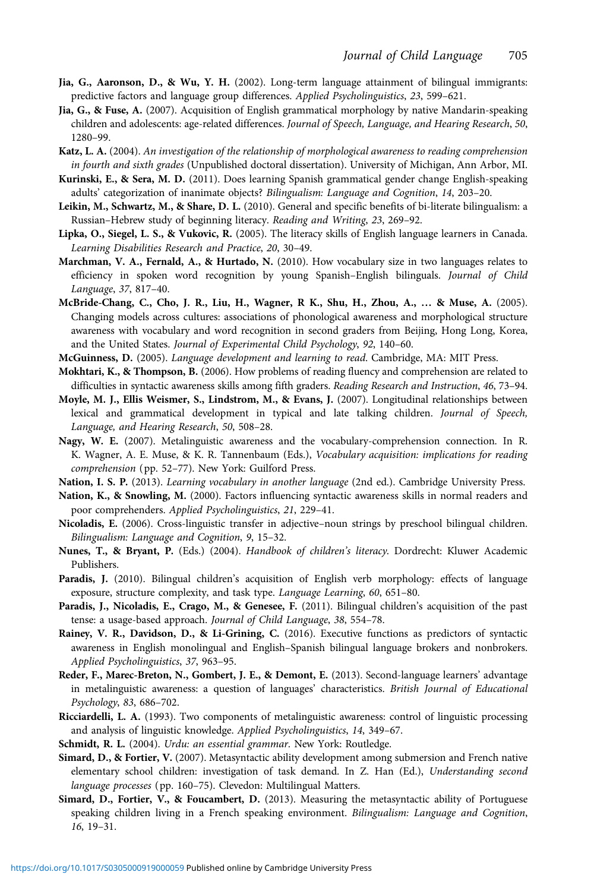- <span id="page-23-0"></span>Jia, G., Aaronson, D., & Wu, Y. H. (2002). Long-term language attainment of bilingual immigrants: predictive factors and language group differences. Applied Psycholinguistics, 23, 599–621.
- Jia, G., & Fuse, A. (2007). Acquisition of English grammatical morphology by native Mandarin-speaking children and adolescents: age-related differences. Journal of Speech, Language, and Hearing Research, 50, 1280–99.
- Katz, L. A. (2004). An investigation of the relationship of morphological awareness to reading comprehension in fourth and sixth grades (Unpublished doctoral dissertation). University of Michigan, Ann Arbor, MI.
- Kurinski, E., & Sera, M. D. (2011). Does learning Spanish grammatical gender change English-speaking adults' categorization of inanimate objects? Bilingualism: Language and Cognition, 14, 203–20.
- Leikin, M., Schwartz, M., & Share, D. L. (2010). General and specific benefits of bi-literate bilingualism: a Russian–Hebrew study of beginning literacy. Reading and Writing, 23, 269–92.
- Lipka, O., Siegel, L. S., & Vukovic, R. (2005). The literacy skills of English language learners in Canada. Learning Disabilities Research and Practice, 20, 30–49.
- Marchman, V. A., Fernald, A., & Hurtado, N. (2010). How vocabulary size in two languages relates to efficiency in spoken word recognition by young Spanish–English bilinguals. Journal of Child Language, 37, 817–40.
- McBride-Chang, C., Cho, J. R., Liu, H., Wagner, R K., Shu, H., Zhou, A., … & Muse, A. (2005). Changing models across cultures: associations of phonological awareness and morphological structure awareness with vocabulary and word recognition in second graders from Beijing, Hong Long, Korea, and the United States. Journal of Experimental Child Psychology, 92, 140–60.
- McGuinness, D. (2005). Language development and learning to read. Cambridge, MA: MIT Press.
- Mokhtari, K., & Thompson, B. (2006). How problems of reading fluency and comprehension are related to difficulties in syntactic awareness skills among fifth graders. Reading Research and Instruction, 46, 73–94.
- Moyle, M. J., Ellis Weismer, S., Lindstrom, M., & Evans, J. (2007). Longitudinal relationships between lexical and grammatical development in typical and late talking children. Journal of Speech, Language, and Hearing Research, 50, 508–28.
- Nagy, W. E. (2007). Metalinguistic awareness and the vocabulary-comprehension connection. In R. K. Wagner, A. E. Muse, & K. R. Tannenbaum (Eds.), Vocabulary acquisition: implications for reading comprehension (pp. 52–77). New York: Guilford Press.
- Nation, I. S. P. (2013). Learning vocabulary in another language (2nd ed.). Cambridge University Press.
- Nation, K., & Snowling, M. (2000). Factors influencing syntactic awareness skills in normal readers and poor comprehenders. Applied Psycholinguistics, 21, 229–41.
- Nicoladis, E. (2006). Cross-linguistic transfer in adjective–noun strings by preschool bilingual children. Bilingualism: Language and Cognition, 9, 15–32.
- Nunes, T., & Bryant, P. (Eds.) (2004). Handbook of children's literacy. Dordrecht: Kluwer Academic Publishers.
- Paradis, J. (2010). Bilingual children's acquisition of English verb morphology: effects of language exposure, structure complexity, and task type. Language Learning, 60, 651–80.
- Paradis, J., Nicoladis, E., Crago, M., & Genesee, F. (2011). Bilingual children's acquisition of the past tense: a usage-based approach. Journal of Child Language, 38, 554–78.
- Rainey, V. R., Davidson, D., & Li-Grining, C. (2016). Executive functions as predictors of syntactic awareness in English monolingual and English–Spanish bilingual language brokers and nonbrokers. Applied Psycholinguistics, 37, 963–95.
- Reder, F., Marec-Breton, N., Gombert, J. E., & Demont, E. (2013). Second-language learners' advantage in metalinguistic awareness: a question of languages' characteristics. British Journal of Educational Psychology, 83, 686–702.
- Ricciardelli, L. A. (1993). Two components of metalinguistic awareness: control of linguistic processing and analysis of linguistic knowledge. Applied Psycholinguistics, 14, 349–67.
- Schmidt, R. L. (2004). Urdu: an essential grammar. New York: Routledge.
- Simard, D., & Fortier, V. (2007). Metasyntactic ability development among submersion and French native elementary school children: investigation of task demand. In Z. Han (Ed.), Understanding second language processes (pp. 160–75). Clevedon: Multilingual Matters.
- Simard, D., Fortier, V., & Foucambert, D. (2013). Measuring the metasyntactic ability of Portuguese speaking children living in a French speaking environment. Bilingualism: Language and Cognition, 16, 19–31.